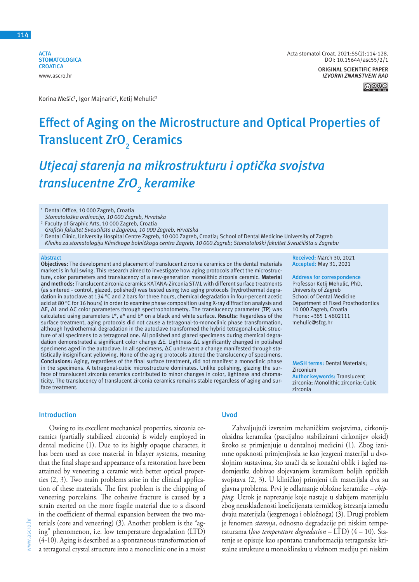**ACTA STOMATOLOGICA CROATICA** www.ascro.hr

Acta stomatol Croat. 2021;55(2):114-128. DOI: 10.15644/asc55/2/1 **ORIGINAL SCIENTIFIC PAPER**

**Received:** March 30, 2021 **Accepted:** May 31, 2021

**Address for correspondence** Professor Ketij Mehulić, PhD, University of Zagreb School of Dental Medicine Department of Fixed Prosthodontics

**MeSH terms:** Dental Materials;

**Author keywords:** Translucent zirconia; Monolithic zirconia; Cubic

10 000 Zagreb, Croatia Phone: +385 1 4802111 mehulic@sfzg.hr

*IZVORNI ZNANSTVENI RAD*

಄®

Korina Mešić<sup>1</sup>, Igor Majnarić<sup>2</sup>, Ketij Mehulić<sup>3</sup>

# **Effect of Aging on the Microstructure and Optical Properties of Translucent ZrO2 Ceramics**

# *Utjecaj starenja na mikrostrukturu i optička svojstva translucentne ZrO<sup>2</sup> keramike*

<sup>1</sup> Dental Office, 10 000 Zagreb, Croatia

*Stomatološka ordinacija, 10 000 Zagreb, Hrvatska* 2

 Faculty of Graphic Arts, 10 000 Zagreb, Croatia

- *Grafički fakultet Sveučilišta u Zagrebu, 10 000 Zagreb, Hrvatska* 3 Dental Clinic, University Hospital Centre Zagreb, 10 000 Zagreb, Croatia; School of Dental Medicine University of Zagreb
- Klinika za stomatologiju Kliničkoga bolničkoga centra Zagreb, 10 000 Zagreb; Stomatološki fakultet Sveučilišta u Zagrebu

#### **Abstract**

**Objectives:** The development and placement of translucent zirconia ceramics on the dental materials market is in full swing. This research aimed to investigate how aging protocols affect the microstructure, color parameters and translucency of a new-generation monolithic zirconia ceramic. **Material and methods:** Translucent zirconia ceramics KATANA-Zirconia STML with different surface treatments (as sintered - control, glazed, polished) was tested using two aging protocols (hydrothermal degradation in autoclave at 134 °C and 2 bars for three hours, chemical degradation in four-percent acetic acid at 80 °C for 16 hours) in order to examine phase composition using X-ray diffraction analysis and ΔE, ΔL and ΔC color parameters through spectrophotometry. The translucency parameter (TP) was calculated using parameters L\*, a\* and b\* on a black and white surface. **Results:** Regardless of the surface treatment, aging protocols did not cause a tetragonal-to-monoclinic phase transformation, although hydrothermal degradation in the autoclave transformed the hybrid tetragonal-cubic structure of all specimens to a tetragonal one. All polished and glazed specimens during chemical degradation demonstrated a significant color change ΔE. Lightness ΔL significantly changed in polished specimens aged in the autoclave. In all specimens, ΔC underwent a change manifested through statistically insignificant yellowing. None of the aging protocols altered the translucency of specimens. **Conclusions:** Aging, regardless of the final surface treatment, did not manifest a monoclinic phase in the specimens. A tetragonal-cubic microstructure dominates. Unlike polishing, glazing the surface of translucent zirconia ceramics contributed to minor changes in color, lightness and chromaticity. The translucency of translucent zirconia ceramics remains stable regardless of aging and surface treatment.

#### **Introduction**

Owing to its excellent mechanical properties, zirconia ceramics (partially stabilized zirconia) is widely employed in dental medicine (1). Due to its highly opaque character, it has been used as core material in bilayer systems, meaning that the final shape and appearance of a restoration have been attained by veneering a ceramic with better optical properties (2, 3). Two main problems arise in the clinical application of these materials. The first problem is the chipping of veneering porcelains. The cohesive fracture is caused by a strain exerted on the more fragile material due to a discord in the coefficient of thermal expansion between the two materials (core and veneering) (3). Another problem is the "aging" phenomenon, i.e. low temperature degradation (LTD) (4-10). Aging is described as a spontaneous transformation of a tetragonal crystal structure into a monoclinic one in a moist

# **Uvod**

Zahvaljujući izvrsnim mehaničkim svojstvima, cirkonijoksidna keramika (parcijalno stabilizirani cirkonijev oksid) široko se primjenjuje u dentalnoj medicini (1). Zbog iznimne opaknosti primjenjivala se kao jezgreni materijal u dvoslojnim sustavima, što znači da se konačni oblik i izgled nadomjestka dobivao slojevanjem keramikom boljih optičkih svojstava (2, 3). U kliničkoj primjeni tih materijala dva su glavna problema. Prvi je odlamanje obložne keramike – *chipping.* Uzrok je naprezanje koje nastaje u slabijem materijalu zbog neusklađenosti koeficijenata termičkog istezanja između dvaju materijala (jezgrenoga i obložnoga) (3). Drugi problem je fenomen *starenja*, odnosno degradacije pri niskim temperaturama (*low temperature degradation* – LTD) (4 – 10). Starenje se opisuje kao spontana transformacija tetragonske kristalne strukture u monoklinsku u vlažnom mediju pri niskim

Zirconium

zirconia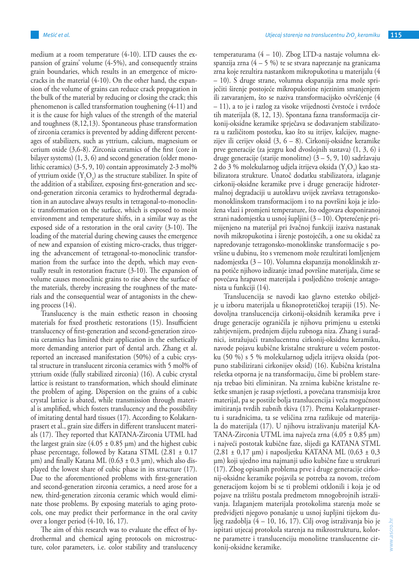medium at a room temperature (4-10). LTD causes the expansion of grains' volume (4-5%), and consequently strains grain boundaries, which results in an emergence of microcracks in the material (4-10). On the other hand, the expansion of the volume of grains can reduce crack propagation in the bulk of the material by reducing or closing the crack; this phenomenon is called transformation toughening (4-11) and it is the cause for high values of the strength of the material and toughness (8,12,13). Spontaneous phase transformation of zirconia ceramics is prevented by adding different percentages of stabilizers, such as yttrium, calcium, magnesium or cerium oxide (3,6-8). Zirconia ceramics of the first (core in bilayer systems) (1, 3, 6) and second generation (older monolithic ceramics) (3-5, 9, 10) contain approximately 2-3 mol% of yttrium oxide  $(Y_2O_3)$  as the structure stabilizer. In spite of the addition of a stabilizer, exposing first-generation and second-generation zirconia ceramics to hydrothermal degradation in an autoclave always results in tetragonal-to-monoclinic transformation on the surface, which is exposed to moist environment and temperature shifts, in a similar way as the exposed side of a restoration in the oral cavity (3-10). The loading of the material during chewing causes the emergence of new and expansion of existing micro-cracks, thus triggering the advancement of tetragonal-to-monoclinic transformation from the surface into the depth, which may eventually result in restoration fracture (3-10). The expansion of volume causes monoclinic grains to rise above the surface of the materials, thereby increasing the roughness of the materials and the consequential wear of antagonists in the chewing process (14).

Translucency is the main esthetic reason in choosing materials for fixed prosthetic restorations (15). Insufficient translucency of first-generation and second-generation zirconia ceramics has limited their application in the esthetically more demanding anterior part of dental arch. Zhang et al. reported an increased manifestation (50%) of a cubic crystal structure in translucent zirconia ceramics with 5 mol% of yttrium oxide (fully stabilized zirconia) (16). A cubic crystal lattice is resistant to transformation, which should eliminate the problem of aging. Dispersion on the grains of a cubic crystal lattice is abated, while transmission through material is amplified, which fosters translucency and the possibility of imitating dental hard tissues (17). According to Kolakarnprasert et al., grain size differs in different translucent materials (17). They reported that KATANA-Zirconia UTML had the largest grain size  $(4.05 \pm 0.85 \,\mu m)$  and the highest cubic phase percentage, followed by Katana STML (2.81 ± 0.17  $\mu$ m) and finally Katana ML (0.63 ± 0.3  $\mu$ m), which also displayed the lowest share of cubic phase in its structure (17). Due to the aforementioned problems with first-generation and second-generation zirconia ceramics, a need arose for a new, third-generation zirconia ceramic which would eliminate those problems. By exposing materials to aging protocols, one may predict their performance in the oral cavity over a longer period (4-10, 16, 17).

The aim of this research was to evaluate the effect of hydrothermal and chemical aging protocols on microstructure, color parameters, i.e. color stability and translucency temperaturama (4 – 10). Zbog LTD-a nastaje volumna ekspanzija zrna  $(4 - 5\%)$  te se stvara naprezanje na granicama zrna koje rezultira nastankom mikropukotina u materijalu (4 – 10). S druge strane, volumna ekspanzija zrna može spriječiti širenje postojeće mikropukotine njezinim smanjenjem ili zatvaranjem, što se naziva transformacijsko očvršćenje (4 – 11), a to je i razlog za visoke vrijednosti čvrstoće i tvrdoće tih materijala (8, 12, 13). Spontana fazna transformacija cirkonij-oksidne keramike sprječava se dodavanjem stabilizatora u različitom postotku, kao što su itrijev, kalcijev, magnezijev ili cerijev oksid (3, 6 – 8). Cirkonij-oksidne keramike prve generacije (za jezgru kod dvoslojnih sustava) (1, 3, 6) i druge generacije (starije monolitne) (3 – 5, 9, 10) sadržavaju 2 do 3 % molekularnog udjela itrijeva oksida  $(Y_2O_3)$  kao stabilizatora strukture. Unatoč dodatku stabilizatora, izlaganje cirkonij-oksidne keramike prve i druge generacije hidrotermalnoj degradaciji u autoklavu uvijek završava tetragonskomonoklinskom transformacijom i to na površini koja je izložena vlazi i promjeni temperature, što odgovara eksponiranoj strani nadomjestka u usnoj šupljini (3 – 10). Opterećenje primijenjeno na materijal pri žvačnoj funkciji izaziva nastanak novih mikropukotina i širenje postojećih, a one su okidač za napredovanje tetragonsko-monoklinske transformacije s površine u dubinu, što s vremenom može rezultirati lomljenjem nadomjestka (3 – 10). Volumna ekspanzija monoklinskih zrna potiče njihovo izdizanje iznad površine materijala, čime se povećava hrapavost materijala i posljedično trošenje antagonista u funkciji (14).

Translucencija se navodi kao glavno estetsko obilježje u izboru materijala u fiksnoprotetičkoj terapiji (15). Nedovoljna translucencija cirkonij-oksidnih keramika prve i druge generacije ograničila je njihovu primjenu u estetski zahtjevnijem, prednjem dijelu zubnoga niza. Zhang i suradnici, istražujući translucentnu cirkonij-oksidnu keramiku, navode pojavu kubične kristalne strukture u većem postotku (50 %) s 5 % molekularnog udjela itrijeva oksida (potpuno stabilizirani cirkonijev oksid) (16). Kubična kristalna rešetka otporna je na transformaciju, čime bi problem starenja trebao biti eliminiran. Na zrnima kubične kristalne rešetke smanjen je rasap svjetlosti, a povećana transmisija kroz materijal, pa se postiže bolja translucencija i veća mogućnost imitiranja tvrdih zubnih tkiva (17). Prema Kolakarnprasertu i suradnicima, ta se veličina zrna razlikuje od materijala do materijala (17). U njihovu istraživanju materijal KA-TANA-Zirconia UTML ima najveća zrna (4,05 ± 0,85 µm) i najveći postotak kubične faze, slijedi ga KATANA STML (2,81 ± 0,17 µm) i naposljetku KATANA ML (0,63 ± 0,3 µm) koji ujedno ima najmanji udio kubične faze u strukturi (17). Zbog opisanih problema prve i druge generacije cirkonij-oksidne keramike pojavila se potreba za novom, trećom generacijom kojom bi se ti problemi otklonili i koja je od pojave na tržištu postala predmetom mnogobrojnih istraživanja. Izlaganjem materijala protokolima starenja može se predvidjeti njegovo ponašanje u usnoj šupljini tijekom duljeg razdoblja (4 – 10, 16, 17). Cilj ovog istraživanja bio je ispitati utjecaj protokola starenja na mikrostrukturu, kolorne parametre i translucenciju monolitne translucentne cirkonij-oksidne keramike.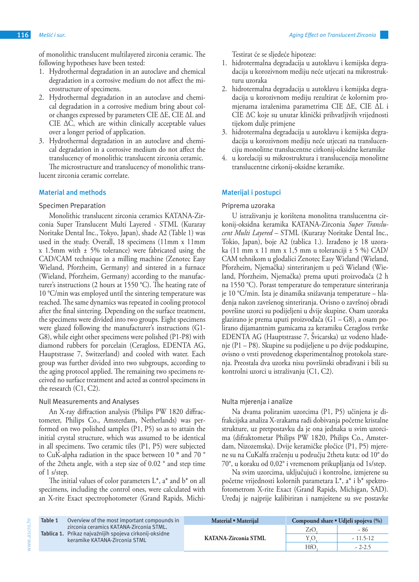of monolithic translucent multilayered zirconia ceramic. The following hypotheses have been tested:

- 1. Hydrothermal degradation in an autoclave and chemical degradation in a corrosive medium do not affect the microstructure of specimens.
- 2. Hydrothermal degradation in an autoclave and chemical degradation in a corrosive medium bring about color changes expressed by parameters CIE ΔE, CIE ΔL and CIE  $\Delta C$ , which are within clinically acceptable values over a longer period of application.
- 3. Hydrothermal degradation in an autoclave and chemical degradation in a corrosive medium do not affect the translucency of monolithic translucent zirconia ceramic. The microstructure and translucency of monolithic trans-

lucent zirconia ceramic correlate.

# **Material and methods**

# Specimen Preparation

Monolithic translucent zirconia ceramics KATANA-Zirconia Super Translucent Multi Layered - STML (Kuraray Noritake Dental Inc., Tokyo, Japan), shade A2 (Table 1) was used in the study. Overall, 18 specimens (11mm x 11mm x 1.5mm with ± 5% tolerance) were fabricated using the CAD/CAM technique in a milling machine (Zenotec Easy Wieland, Pforzheim, Germany) and sintered in a furnace (Wieland, Pforzheim, Germany) according to the manufacturer's instructions (2 hours at 1550 °C). The heating rate of 10 °C/min was employed until the sintering temperature was reached. The same dynamics was repeated in cooling protocol after the final sintering. Depending on the surface treatment, the specimens were divided into two groups. Eight specimens were glazed following the manufacturer's instructions (G1- G8), while eight other specimens were polished (P1-P8) with diamond rubbers for porcelain (Ceragloss, EDENTA AG, Hauptstrasse 7, Switzerland) and cooled with water. Each group was further divided into two subgroups, according to the aging protocol applied. The remaining two specimens received no surface treatment and acted as control specimens in the research (C1, C2).

# Null Measurements and Analyses

www.ascro.hr

www.ascro.hr

An X-ray diffraction analysis (Philips PW 1820 diffractometer, Philips Co., Amsterdam, Netherlands) was performed on two polished samples (P1, P5) so as to attain the initial crystal structure, which was assumed to be identical in all specimens. Two ceramic tiles (P1, P5) were subjected to CuK-alpha radiation in the space between 10 **°** and 70 ° of the 2theta angle, with a step size of 0.02 ° and step time of 1 s/step.

The initial values of color parameters  $L^*$ , a<sup>\*</sup> and  $b^*$  on all specimens, including the control ones, were calculated with an X-rite Exact spectrophotometer (Grand Rapids, MichiTestirat će se sljedeće hipoteze:

- 1. hidrotermalna degradacija u autoklavu i kemijska degradacija u korozivnom mediju neće utjecati na mikrostrukturu uzoraka
- 2. hidrotermalna degradacija u autoklavu i kemijska degradacija u korozivnom mediju rezultirat će kolornim promjenama izraženima parametrima CIE ∆E, CIE ∆L i CIE ∆C koje su unutar klinički prihvatljivih vrijednosti tijekom dulje primjene
- 3. hidrotermalna degradacija u autoklavu i kemijska degradacija u korozivnom mediju neće utjecati na translucenciju monolitne translucentne cirkonij-oksidne keramike
- 4. u korelaciji su mikrostruktura i translucencija monolitne translucentne cirkonij-oksidne keramike.

# **Materijal i postupci**

# Priprema uzoraka

U istraživanju je korištena monolitna translucentna cirkonij-oksidna keramika KATANA-Zirconia *Super Translucent Multi Layered* – STML (Kuraray Noritake Dental Inc., Tokio, Japan), boje A2 (tablica 1.). Izrađeno je 18 uzoraka (11 mm x 11 mm x 1,5 mm u toleranciji  $\pm$  5 %) CAD/ CAM tehnikom u glodalici Zenotec Easy Wieland (Wieland, Pforzheim, Njemačka) sinteriranjem u peći Wieland (Wieland, Pforzheim, Njemačka) prema uputi proizvođača (2 h na 1550 °C). Porast temperature do temperature sinteriranja je 10 °C/min. Ista je dinamika snižavanja temperature – hlađenja nakon završenog sinteriranja. Ovisno o završnoj obradi površine uzorci su podijeljeni u dvije skupine. Osam uzoraka glazirano je prema uputi proizvođača (G1 – G8), a osam polirano dijamantnim gumicama za keramiku Ceragloss tvrtke EDENTA AG (Hauptstrasse 7, Švicarska) uz vodeno hlađenje (P1 – P8). Skupine su podijeljene u po dvije podskupine, ovisno o vrsti provedenog eksperimentalnog protokola starenja. Preostala dva uzorka nisu površinski obrađivani i bili su kontrolni uzorci u istraživanju (C1, C2).

# Nulta mjerenja i analize

Na dvama poliranim uzorcima (P1, P5) učinjena je difrakcijska analiza X-zrakama radi dobivanja početne kristalne strukture, uz pretpostavku da je ona jednaka u svim uzorcima (difraktometar Philips PW 1820, Philips Co., Amsterdam, Nizozemska). Dvije keramičke pločice (P1, P5) mjerene su na CuKalfa zračenju u području 2theta kuta: od 10° do 70°, u koraku od 0,02° i vremenom prikupljanja od 1s/step.

Na svim uzorcima, uključujući i kontrolne, izmjerene su početne vrijednosti kolornih parametara L\*, a\* i b\* spektrofotometrom X-rite Exact (Grand Rapids, Michigan, SAD). Uređaj je najprije kalibiriran i namještene su sve postavke

| Table 1 | Overview of the most important compounds in                                                                                        | Material • Materiial        | Compound share • Udieli spojeva (%) |            |  |
|---------|------------------------------------------------------------------------------------------------------------------------------------|-----------------------------|-------------------------------------|------------|--|
|         | zirconia ceramics KATANA-Zirconia STML.<br>Tablica 1. Prikaz najvažnijih spojeva cirkonij-oksidne<br>keramike KATANA-Zirconia STML | <b>KATANA-Zirconia STML</b> | ZrC                                 | - 86       |  |
|         |                                                                                                                                    |                             | Y.C                                 | $-11.5-12$ |  |
|         |                                                                                                                                    |                             | НfС                                 | $-2-2.5$   |  |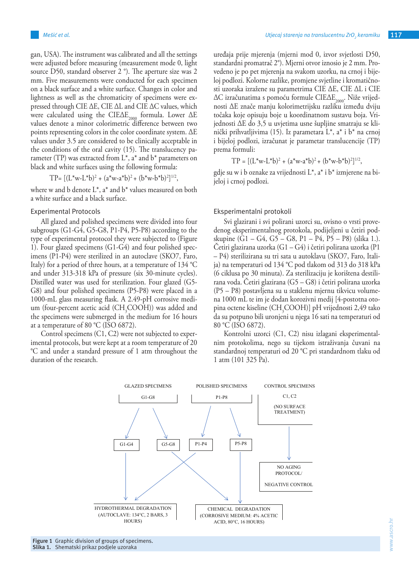gan, USA). The instrument was calibrated and all the settings were adjusted before measuring (measurement mode 0, light source D50, standard observer 2<sup>°</sup>). The aperture size was 2 mm. Five measurements were conducted for each specimen on a black surface and a white surface. Changes in color and lightness as well as the chromaticity of specimens were expressed through CIE ∆E, CIE ∆L and CIE ∆C values, which were calculated using the CIE $\Delta E_{2000}$  formula. Lower  $\Delta E$ values denote a minor colorimetric difference between two points representing colors in the color coordinate system. ΔE values under 3.5 are considered to be clinically acceptable in the conditions of the oral cavity (15). The translucency parameter (TP) was extracted from  $L^*$ , a<sup>\*</sup> and  $b^*$  parameters on black and white surfaces using the following formula:

where w and b denote  $L^*$ , a<sup>\*</sup> and  $b^*$  values measured on both a white surface and a black surface.

#### Experimental Protocols

All glazed and polished specimens were divided into four subgroups (G1-G4, G5-G8, P1-P4, P5-P8) according to the type of experimental protocol they were subjected to (Figure 1). Four glazed specimens (G1-G4) and four polished specimens (P1-P4) were sterilized in an autoclave (SKO7, Faro, Italy) for a period of three hours, at a temperature of 134 °C and under 313-318 kPa of pressure (six 30-minute cycles). Distilled water was used for sterilization. Four glazed (G5- G8) and four polished specimens (P5-P8) were placed in a 1000-mL glass measuring flask. A 2.49-pH corrosive medium (four-percent acetic acid  $(CH_3COOH)$ ) was added and the specimens were submerged in the medium for 16 hours at a temperature of 80 °C (ISO 6872).

Control specimens (C1, C2) were not subjected to experimental protocols, but were kept at a room temperature of 20  $^{\circ}$ °C and under a standard pressure of 1 atm throughout the duration of the research.

uređaja prije mjerenja (mjerni mod 0, izvor svjetlosti D50, standardni promatrač 2°). Mjerni otvor iznosio je 2 mm. Provedeno je po pet mjerenja na svakom uzorku, na crnoj i bijeloj podlozi. Kolorne razlike, promjene svjetline i kromatičnosti uzoraka izražene su parametrima CIE ∆E, CIE ∆L i CIE ∆C izračunatima s pomoću formule CIE∆E<sub>2000</sub>. Niže vrijednosti ∆E znače manju kolorimetrijsku razliku između dviju točaka koje opisuju boje u koordinatnom sustavu boja. Vrijednosti ∆E do 3,5 u uvjetima usne šupljine smatraju se klinički prihvatljivima (15). Iz parametara L\*, a\* i b\* na crnoj i bijeloj podlozi, izračunat je parametar translucencije (TP) prema formuli:

$$
TP = [(L^*w - L^*b)^2 + (a^*w - a^*b)^2 + (b^*w - b^*b)^2]^{1/2},
$$

 $TP = [(L*w-L*b)^2 + (a*w-a*b)^2 + (b*w-b*b)^2]^{1/2}$ ,  $\begin{bmatrix} 1 & 1 \\ 0 & 1 \end{bmatrix}$  ielo) i crnoi podlozi gdje su w i b oznake za vrijednosti L\*, a\* i b\* izmjerene na bijeloj i crnoj podlozi.

## Eksperimentalni protokoli

specimens were divided into four Svi glazirani i svi polirani uzorci su, ovisno o vrsti provedenog eksperimentalnog protokola, podijeljeni u četiri podcol they were subjected to (Figure skupine  $(\hat{G}1 - G4, G5 - G8, P1 - P4, P5 - P8)$  (slika 1.). Četiri glazirana uzorka (G1 – G4) i četiri polirana uzorka (P1 – P4) sterilizirana su tri sata u autoklavu (SKO7, Faro, Italija) na temperaturi od 134 °C pod tlakom od 313 do 318 kPa (6 ciklusa po 30 minuta). Za sterilizaciju je korištena destilirana voda. Četiri glazirana (G5 – G8) i četiri polirana uzorka (P5 – P8) postavljena su u staklenu mjernu tikvicu volumena 1000 mL te im je dodan korozivni medij [4-postotna otopina octene kiseline (CH<sub>3</sub>COOH)] pH vrijednosti 2,49 tako da su potpuno bili uronjeni u njega 16 sati na temperaturi od 80 °C (ISO 6872).

> Kontrolni uzorci (C1, C2) nisu izlagani eksperimentalnim protokolima, nego su tijekom istraživanja čuvani na standardnoj temperaturi od 20 °C pri standardnom tlaku od 1 atm (101 325 Pa).

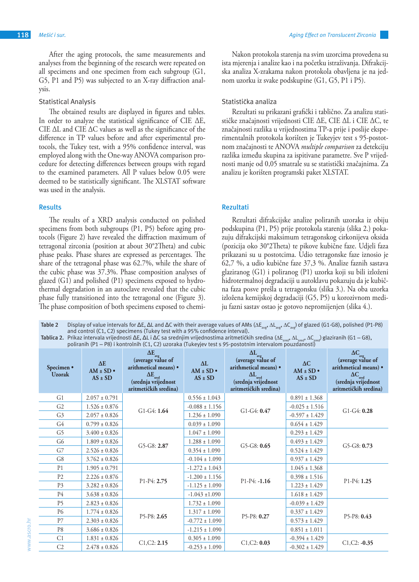After the aging protocols, the same measurements and analyses from the beginning of the research were repeated on all specimens and one specimen from each subgroup (G1, G5, P1 and P5) was subjected to an X-ray diffraction analysis.

## Statistical Analysis

The obtained results are displayed in figures and tables. In order to analyze the statistical significance of CIE ∆E, CIE ∆L and CIE ∆C values as well as the significance of the difference in TP values before and after experimental protocols, the Tukey test, with a 95% confidence interval, was employed along with the One-way ANOVA comparison procedure for detecting differences between groups with regard to the examined parameters. All P values below 0.05 were deemed to be statistically significant. The XLSTAT software was used in the analysis.

### **Results**

The results of a XRD analysis conducted on polished specimens from both subgroups (P1, P5) before aging protocols (Figure 2) have revealed the diffraction maximum of tetragonal zirconia (position at about 30°2Theta) and cubic phase peaks. Phase shares are expressed as percentages. The share of the tetragonal phase was 62.7%, while the share of the cubic phase was 37.3%. Phase composition analyses of glazed (G1) and polished (P1) specimens exposed to hydrothermal degradation in an autoclave revealed that the cubic phase fully transitioned into the tetragonal one (Figure 3). The phase composition of both specimens exposed to chemi-

Nakon protokola starenja na svim uzorcima provedena su ista mjerenja i analize kao i na početku istraživanja. Difrakcijska analiza X-zrakama nakon protokola obavljena je na jednom uzorku iz svake podskupine (G1, G5, P1 i P5).

## Statistička analiza

Rezultati su prikazani grafički i tablično. Za analizu statističke značajnosti vrijednosti CIE ∆E, CIE ∆L i CIE ∆C, te značajnosti razlika u vrijednostima TP-a prije i poslije eksperimentalnih protokola korišten je Tukeyjev test s 95-postotnom značajnosti te ANOVA *multiple comparison* za detekciju razlika između skupina za ispitivane parametre. Sve P vrijednosti manje od 0,05 smatrale su se statistički značajnima. Za analizu je korišten programski paket XLSTAT.

### **Rezultati**

Rezultati difrakcijske analize poliranih uzoraka iz obiju podskupina (P1, P5) prije protokola starenja (slika 2.) pokazuju difrakcijski maksimum tetragonskog cirkonijeva oksida (pozicija oko 30°2Theta) te pikove kubične faze. Udjeli faza prikazani su u postotcima. Udio tetragonske faze iznosio je 62,7 %, a udio kubične faze 37,3 %. Analize faznih sastava glaziranog (G1) i poliranog (P1) uzorka koji su bili izloženi hidrotermalnoj degradaciji u autoklavu pokazuju da je kubična faza posve prešla u tetragonsku (slika 3.). Na oba uzorka izložena kemijskoj degradaciji (G5, P5) u korozivnom mediju fazni sastav ostao je gotovo nepromijenjen (slika 4.).

Table 2 Display of value intervals for ΔE, ΔL and ΔC with their average values of AMs (ΔE<sub>ave</sub>, ΔL<sub>ave</sub>, ΔC<sub>ave</sub>) of glazed (G1-G8), polished (P1-P8) and control (C1, C2) specimens (Tukey test with a 95% confidence interval).

**Tablica 2.** Prikaz intervala vrijednosti ΔΕ, ΔL i ΔC sa srednjim vrijednostima aritmetičkih sredina (ΔΕ<sub>sred</sub>, ΔL<sub>sred</sub>, ΔC<sub>sred</sub>) glaziranih (G1 — G8),<br>poliranih (P1 — P8) i kontrolnih (C1, C2) uzoraka (Tukeyjev test s

| Specimen •<br><b>Uzorak</b> | $\Delta E$<br>$AM \pm SD$ •<br>$AS \pm SD$ | $\Delta E_{avg}$ (average value of<br>arithmetical means) •<br>$\Delta E_{\rm sred}$<br>(srednja vrijednost<br>aritmetičkih sredina) | $\Delta L$<br>$AM \pm SD$ •<br>$AS \pm SD$ | $\Delta L_{avg}$<br>(average value of<br>arithmetical means) •<br>$\Delta L_{\rm{sred}}$<br>(srednja vrijednost<br>aritmetičkih sredina) | $\Delta C$<br>$AM \pm SD$ •<br>$AS \pm SD$ | $\Delta C$<br>(average value of<br>arithmetical means) •<br>$\Delta C_{\rm sred}$<br>(srednja vrijednost<br>aritmetičkih sredina) |
|-----------------------------|--------------------------------------------|--------------------------------------------------------------------------------------------------------------------------------------|--------------------------------------------|------------------------------------------------------------------------------------------------------------------------------------------|--------------------------------------------|-----------------------------------------------------------------------------------------------------------------------------------|
| G1                          | $2.057 \pm 0.791$                          |                                                                                                                                      | $0.556 \pm 1.043$                          | $G1-G4: 0.47$                                                                                                                            | $0.891 \pm 1.368$                          | $G1-G4: 0.28$                                                                                                                     |
| G <sub>2</sub>              | $1.526 \pm 0.876$                          | $G1-G4:1.64$                                                                                                                         | $-0.088 \pm 1.156$                         |                                                                                                                                          | $-0.025 \pm 1.516$                         |                                                                                                                                   |
| G <sub>3</sub>              | $2.057 \pm 0.826$                          |                                                                                                                                      | $1.236 \pm 1.090$                          |                                                                                                                                          | $-0.597 \pm 1.429$                         |                                                                                                                                   |
| G4                          | $0.799 \pm 0.826$                          |                                                                                                                                      | $0.039 \pm 1.090$                          |                                                                                                                                          | $0.654 \pm 1.429$                          |                                                                                                                                   |
| G <sub>5</sub>              | $3.400 \pm 0.826$                          | $G5-G8: 2.87$                                                                                                                        | $1.047 \pm 1.090$                          | $G5-G8:0.65$                                                                                                                             | $0.293 \pm 1.429$                          | $G5-G8: 0.73$                                                                                                                     |
| G <sub>6</sub>              | $1.809 \pm 0.826$                          |                                                                                                                                      | $1.288 \pm 1.090$                          |                                                                                                                                          | $0.493 \pm 1.429$                          |                                                                                                                                   |
| G7                          | $2.526 \pm 0.826$                          |                                                                                                                                      | $0.354 \pm 1.090$                          |                                                                                                                                          | $0.524 \pm 1.429$                          |                                                                                                                                   |
| G8                          | $3.762 \pm 0.826$                          |                                                                                                                                      | $-0.104 \pm 1.090$                         |                                                                                                                                          | $0.937 \pm 1.429$                          |                                                                                                                                   |
| P <sub>1</sub>              | $1.905 \pm 0.791$                          |                                                                                                                                      | $-1.272 \pm 1.043$                         | $P1-P4: -1.16$                                                                                                                           | $1.045 \pm 1.368$                          | $P1-P4:1.25$                                                                                                                      |
| P <sub>2</sub>              | $2.226 \pm 0.876$                          | P1-P4: 2.75                                                                                                                          | $-1.200 \pm 1.156$                         |                                                                                                                                          | $0.398 \pm 1.516$                          |                                                                                                                                   |
| P <sub>3</sub>              | $3.282 \pm 0.826$                          |                                                                                                                                      | $-1.125 \pm 1.090$                         |                                                                                                                                          | $1.223 \pm 1.429$                          |                                                                                                                                   |
| P4                          | $3.638 \pm 0.826$                          |                                                                                                                                      | $-1.043 \pm 1.090$                         |                                                                                                                                          | $1.618 \pm 1.429$                          |                                                                                                                                   |
| P <sub>5</sub>              | $2.823 \pm 0.826$                          |                                                                                                                                      | $1.732 \pm 1.090$                          | $P5-P8: 0.27$                                                                                                                            | $-0.039 \pm 1.429$                         | $P5-P8:0.43$                                                                                                                      |
| P6                          | $1.774 \pm 0.826$                          | $P5-P8:2.65$                                                                                                                         | $1.317 \pm 1.090$                          |                                                                                                                                          | $0.337 \pm 1.429$                          |                                                                                                                                   |
| P7                          | $2.303 \pm 0.826$                          |                                                                                                                                      | $-0.772 \pm 1.090$                         |                                                                                                                                          | $0.573 \pm 1.429$                          |                                                                                                                                   |
| P <sub>8</sub>              | $3.686 \pm 0.826$                          |                                                                                                                                      | $-1.215 \pm 1.090$                         |                                                                                                                                          | $0.851 \pm 1.011$                          |                                                                                                                                   |
| C <sub>1</sub>              | $1.831 \pm 0.826$                          |                                                                                                                                      | $0.305 \pm 1.090$                          | C1, C2: 0.03                                                                                                                             | $-0.394 \pm 1.429$                         |                                                                                                                                   |
| C <sub>2</sub>              | $2.478 \pm 0.826$                          | C1, C2: 2.15                                                                                                                         | $-0.253 \pm 1.090$                         |                                                                                                                                          | $-0.302 \pm 1.429$                         | $C1, C2: -0.35$                                                                                                                   |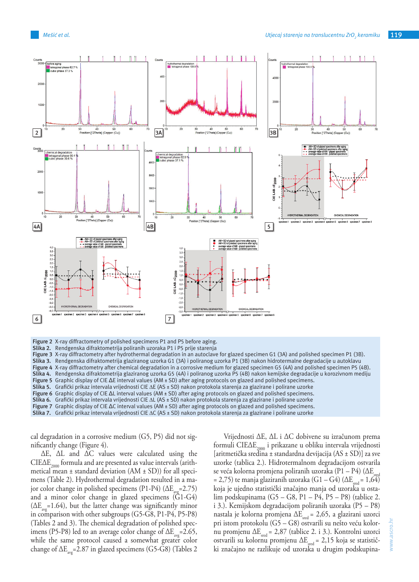

**Figure 2** X-ray diffractometry of polished specimens P1 and P5 before aging.

**Slika 2.** Rendgenska difraktometrija poliranih uzoraka P1 i P5 prije starenja

**Figure 3** X-ray diffractometry after hydrothermal degradation in an autoclave for glazed specimen G1 (3A) and polished specimen P1 (3B). **Slika 3.** Rendgenska difraktometrija glaziranog uzorka G1 (3A) i poliranog uzorka P1 (3B) nakon hidrotermalne degradacije u autoklavu **Figure 4** X-ray diffractometry after chemical degradation in a corrosive medium for glazed specimen G5 (4A) and polished specimen P5 (4B). Slika 4. Rendgenska difraktometrija glaziranog uzorka G5 (4A) i poliranog uzorka P5 (4B) nakon kemijske degradacije u korozivnom mediju **Figure 5** Graphic display of CIE ΔE interval values (AM ± SD) after aging protocols on glazed and polished specimens. **Slika 5.** Grafički prikaz intervala vrijednosti CIE ∆E (AS ± SD) nakon protokola starenja za glazirane i polirane uzorke **Figure 6** Graphic display of CIE ΔL interval values (AM ± SD) after aging protocols on glazed and polished specimens. **Slika 6.** Grafički prikaz intervala vrijednosti CIE ∆L (AS ± SD) nakon protokola starenja za glazirane i polirane uzorke **Figure 7** Graphic display of CIE ΔC interval values (AM ± SD) after aging protocols on glazed and polished specimens. **Slika 7.** Grafički prikaz intervala vrijednosti CIE ∆C (AS ± SD) nakon protokola starenja za glazirane i polirane uzorke

cal degradation in a corrosive medium (G5, P5) did not significantly change (Figure 4).

∆E, ∆L and ∆C values were calculated using the  $CIE\Delta E_{2000}$  formula and are presented as value intervals (arithmetical mean  $\pm$  standard deviation (AM  $\pm$  SD)) for all specimens (Table 2). Hydrothermal degradation resulted in a major color change in polished specimens (P1-P4) ( $\Delta E_{me}$ =2.75) and a minor color change in glazed specimens (G1-G4)  $(\Delta E_{\text{av}}=1.64)$ , but the latter change was significantly minor in comparison with other subgroups (G5-G8, P1-P4, P5-P8) (Tables 2 and 3). The chemical degradation of polished specimens (P5-P8) led to an average color change of  $\Delta E_{\text{av}}$ =2.65, while the same protocol caused a somewhat greater color change of  $\Delta E_{\text{avg}}$ =2.87 in glazed specimens (G5-G8) (Tables 2

Vrijednosti ∆E, ∆L i ∆C dobivene su izračunom prema formuli CIE∆E<sub>2000</sub> i prikazane u obliku intervala vrijednosti [aritmetička sredina ± standardna devijacija (AS ± SD)] za sve uzorke (tablica 2.). Hidrotermalnom degradacijom ostvarila se veća kolorna promjena poliranih uzoraka (P1 – P4) ( $\Delta E_{ex}$ = 2,75) te manja glaziranih uzoraka (G1 – G4) ( $\Delta E_{\text{seed}}$  = 1,64) koja je ujedno statistički značajno manja od uzoraka u ostalim podskupinama (G5 – G8, P1 – P4, P5 – P8) (tablice 2. i 3.). Kemijskom degradacijom poliranih uzoraka (P5 – P8) nastala je kolorna promjena ∆Esred = 2,65, a glazirani uzorci pri istom protokolu (G5 – G8) ostvarili su nešto veću kolornu promjenu ΔE<sub>sred</sub> = 2,87 (tablice 2. i 3.). Kontrolni uzorci ostvarili su kolornu promjenu  $\Delta E_{\text{sred}} = 2.15$  koja se statistički značajno ne razlikuje od uzoraka u drugim podskupina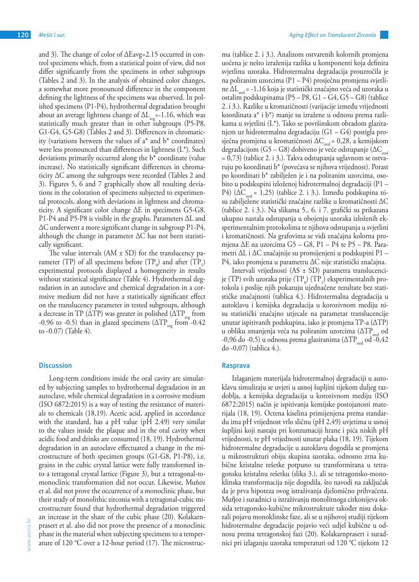and 3). The change of color of ΔEavg=2.15 occurred in control specimens which, from a statistical point of view, did not differ significantly from the specimens in other subgroups (Tables 2 and 3). In the analysis of obtained color changes, a somewhat more pronounced difference in the component defining the lightness of the specimens was observed. In polished specimens (P1-P4), hydrothermal degradation brought about an average lightness change of  $\Delta L_{avg} = 1.16$ , which was statistically much greater than in other subgroups (P5-P8, G1-G4, G5-G8) (Tables 2 and 3). Differences in chromaticity (variations between the values of  $a^*$  and  $b^*$  coordinates) were less pronounced than differences in lightness (L\*). Such deviations primarily occurred along the b\* coordinate (value increase). No statistically significant differences in chromaticity ΔC among the subgroups were recorded (Tables 2 and 3). Figures 5, 6 and 7 graphically show all resulting deviations in the coloration of specimens subjected to experimental protocols, along with deviations in lightness and chromaticity. A significant color change ΔE in specimens G5-G8, P1-P4 and P5-P8 is visible in the graphs. Parameters ΔL and ΔC underwent a more significant change in subgroup P1-P4, although the change in parameter  $\Delta C$  has not been statistically significant.

The value intervals  $(AM \pm SD)$  for the translucency parameter (TP) of all specimens before  $(TP_0)$  and after  $(TP_1)$ experimental protocols displayed a homogeneity in results without statistical significance (Table 4). Hydrothermal degradation in an autoclave and chemical degradation in a corrosive medium did not have a statistically significant effect on the translucency parameter in tested subgroups, although a decrease in TP ( $\Delta \text{TP}$ ) was greater in polished ( $\Delta \text{TP}_{\text{avg}}$  from -0.96 to -0.5) than in glazed specimens ( $\Delta TP_{\text{avg}}$  from -0.42 to -0.07) (Table 4).

#### **Discussion**

Long-term conditions inside the oral cavity are simulated by subjecting samples to hydrothermal degradation in an autoclave, while chemical degradation in a corrosive medium (ISO 6872:2015) is a way of testing the resistance of materials to chemicals (18,19). Acetic acid, applied in accordance with the standard, has a pH value (pH 2.49) very similar to the values inside the plaque and in the oral cavity when acidic food and drinks are consumed (18, 19). Hydrothermal degradation in an autoclave effectuated a change in the microstructure of both specimen groups (G1-G8, P1-P8), i.e. grains in the cubic crystal lattice were fully transformed into a tetragonal crystal lattice (Figure 3), but a tetragonal-tomonoclinic transformation did not occur. Likewise, Muñoz et al. did not prove the occurrence of a monoclinic phase, but their study of monolithic zirconia with a tetragonal-cubic microstructure found that hydrothermal degradation triggered an increase in the share of the cubic phase (20). Kolakarnprasert et al. also did not prove the presence of a monoclinic phase in the material when subjecting specimens to a temperature of 120 °C over a 12-hour period (17). The microstruc-

ma (tablice 2. i 3.). Analizom ostvarenih kolornih promjena uočena je nešto izraženija razlika u komponenti koja definira svjetlinu uzoraka. Hidrotermalna degradacija prouzročila je na poliranim uzorcima (P1 – P4) prosječnu promjenu svjetline ΔL<sub>sred</sub> = -1,16 koja je statistički značajno veća od uzoraka u ostalim podskupinama (P5 – P8, G1 – G4, G5 – G8) (tablice 2. i 3.). Razlike u kromatičnosti (varijacije između vrijednosti koordinata a\* i b\*) manje su izražene u odnosu prema razlikama u svjetlini (L\*). Tako se površinskom obradom glaziranjem uz hidrotermalnu degradaciju (G1 – G4) postigla prosječna promjena u kromatičnosti  $\Delta C_{\text{sed}} = 0.28$ , a kemijskom degradacijom (G5 – G8) dobiveno je veće odstupanje ( $\Delta C_{\text{seed}}$ = 0,73) (tablice 2. i 3.). Takva odstupanja uglavnom se ostvaruju po koordinati b\* (povećava se njihova vrijednost). Porast po koordinati b\* zabilježen je i na poliranim uzorcima, osobito u podskupini izloženoj hidrotermalnoj degradaciji (P1 – P4) ( $\Delta C_{\text{end}}$  = 1,25) (tablice 2. i 3.). Između podskupina nisu zabilježene statistički značajne razlike u kromatičnosti ∆C (tablice 2. i 3.). Na slikama 5., 6. i 7. grafički su prikazana ukupno nastala odstupanja u obojenju uzoraka izloženih eksperimentalnim protokolima te njihova odstupanja u svjetlini i kromatičnosti. Na grafovima se vidi značajna kolorna promjena ∆E na uzorcima G5 – G8, P1 – P4 te P5 – P8. Parametri ∆L i ∆C značajnije su promijenjeni u podskupini P1 – P4, iako promjena u parametru ∆C nije statistički značajna.

Intervali vrijednosti (AS ± SD) parametra translucencije (TP) svih uzoraka prije (TP<sub>0</sub>) (TP<sub>1</sub>) eksperimentalnih protokola i poslije njih pokazuju ujednačene rezultate bez statističke značajnosti (tablica 4.). Hidrotermalna degradacija u autoklavu i kemijska degradacija u korozivnom mediju nisu statistički značajno utjecale na parametar translucencije unutar ispitivanih podskupina, iako je promjena TP-a (∆TP) u obliku smanjenja veća na poliranim uzorcima ( $\Delta TP_{\text{pred}}$  od -0,96 do -0,5) u odnosu prema glaziranima ( $\Delta TP_{\text{seed}}$  od -0,42 do -0,07) (tablica 4.).

## **Rasprava**

Izlaganjem materijala hidrotermalnoj degradaciji u autoklavu simuliraju se uvjeti u usnoj šupljini tijekom duljeg razdoblja, a kemijska degradacija u korozivnom mediju (ISO 6872:2015) način je ispitivanja kemijske postojanosti materijala (18, 19). Octena kiselina primijenjena prema standardu ima pH vrijednost vrlo sličnu (pH 2,49) uvjetima u usnoj šupljini koji nastaju pri konzumaciji hrane i pića niskih pH vrijednosti, te pH vrijednosti unutar plaka (18, 19). Tijekom hidrotermalne degradacije u autoklavu dogodila se promjena u mikrostrukturi obiju skupina uzoraka, odnosno zrna kubične kristalne rešetke potpuno su transformirana u tetragonsku kristalnu rešetku (slika 3.), ali se tetragonsko-monoklinska transformacija nije dogodila, što navodi na zaključak da je prva hipoteza ovog istraživanja djelomično prihvaćena. Muῆoz i suradnici u istraživanju monolitnoga cirkonijeva oksida tetragonsko-kubične mikrostrukture također nisu dokazali pojavu monoklinske faze, ali se u njihovoj studiji tijekom hidrotermalne degradacije pojavio veći udjel kubične u odnosu prema tetragonskoj fazi (20). Kolakarnprasert i suradnici pri izlaganju uzoraka temperaturi od 120 °C tijekom 12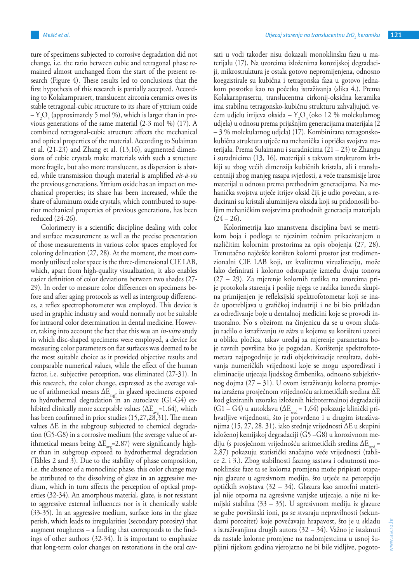ture of specimens subjected to corrosive degradation did not change, i.e. the ratio between cubic and tetragonal phase remained almost unchanged from the start of the present research (Figure 4). These results led to conclusions that the first hypothesis of this research is partially accepted. According to Kolakarnprasert, translucent zirconia ceramics owes its stable tetragonal-cubic structure to its share of yttrium oxide  $-Y_2O_3$  (approximately 5 mol %), which is larger than in previous generations of the same material (2-3 mol %) (17). A combined tetragonal-cubic structure affects the mechanical and optical properties of the material. According to Sulaiman et al. (21-23) and Zhang et al. (13,16), augmented dimensions of cubic crystals make materials with such a structure more fragile, but also more translucent, as dispersion is abated, while transmission though material is amplified *vis-à-vis* the previous generations. Yttrium oxide has an impact on mechanical properties; its share has been increased, while the share of aluminum oxide crystals, which contributed to superior mechanical properties of previous generations, has been reduced (24-26).

Colorimetry is a scientific discipline dealing with color and surface measurement as well as the precise presentation of those measurements in various color spaces employed for coloring delineation (27, 28). At the moment, the most commonly utilized color space is the three-dimensional CIE LAB, which, apart from high-quality visualization, it also enables easier definition of color deviations between two shades (27- 29). In order to measure color differences on specimens before and after aging protocols as well as intergroup differences, a reflex spectrophotometer was employed. This device is used in graphic industry and would normally not be suitable for intraoral color determination in dental medicine. However, taking into account the fact that this was an *in-vitro* study in which disc-shaped specimens were employed, a device for measuring color parameters on flat surfaces was deemed to be the most suitable choice as it provided objective results and comparable numerical values, while the effect of the human factor, i.e. subjective perception, was eliminated (27-31). In this research, the color change, expressed as the average value of arithmetical means  $\Delta E_{\text{avg}}$ , in glazed specimens exposed to hydrothermal degradation in an autoclave (G1-G4) exhibited clinically more acceptable values ( $\Delta E_{\text{avg}}$ =1.64), which has been confirmed in prior studies (15,27,28,31). The mean values ΔE in the subgroup subjected to chemical degradation (G5-G8) in a corrosive medium (the average value of arithmetical means being  $\Delta E_{av}$ =2.87) were significantly higher than in subgroup exposed to hydrothermal degradation (Tables 2 and 3). Due to the stability of phase composition, i.e. the absence of a monoclinic phase, this color change may be attributed to the dissolving of glaze in an aggressive medium, which in turn affects the perception of optical properties (32-34). An amorphous material, glaze, is not resistant to aggressive external influences nor is it chemically stable (33-35). In an aggressive medium, surface ions in the glaze perish, which leads to irregularities (secondary porosity) that augment roughness – a finding that corresponds to the findings of other authors (32-34). It is important to emphasize that long-term color changes on restorations in the oral cavsati u vodi također nisu dokazali monoklinsku fazu u materijalu (17). Na uzorcima izloženima korozijskoj degradaciji, mikrostruktura je ostala gotovo nepromijenjena, odnosno koegzistirale su kubična i tetragonska faza u gotovo jednakom postotku kao na početku istraživanja (slika 4.). Prema Kolakarnprasertu, translucentna cirkonij-oksidna keramika ima stabilnu tetragonsko-kubičnu strukturu zahvaljujući većem udjelu itrijeva oksida –  $Y_2O_3$  (oko 12 % molekularnog udjela) u odnosu prema prijašnjim generacijama materijala (2 – 3 % molekularnog udjela) (17). Kombinirana tetragonskokubična struktura utječe na mehanička i optička svojstva materijala. Prema Sulaimanu i suradnicima (21 – 23) te Zhangu i suradnicima (13, 16), materijali s takvom strukturom krhkiji su zbog većih dimenzija kubičnih kristala, ali i translucentniji zbog manjeg rasapa svjetlosti, a veće transmisije kroz materijal u odnosu prema prethodnim generacijama. Na mehanička svojstva utječe itrijev oksid čiji je udio povećan, a reducirani su kristali aluminijeva oksida koji su pridonosili boljim mehaničkim svojstvima prethodnih generacija materijala  $(24 - 26)$ .

Kolorimetrija kao znanstvena disciplina bavi se metrikom boja i podloga te njezinim točnim prikazivanjem u različitim kolornim prostorima za opis obojenja (27, 28). Trenutačno najčešće korišten kolorni prostor jest trodimenzionalni CIE LAB koji, uz kvalitetnu vizualizaciju, može lako definirati i kolorno odstupanje između dvaju tonova (27 – 29). Za mjerenje kolornih razlika na uzorcima prije protokola starenja i poslije njega te razlika između skupina primijenjen je refleksijski spektrofotometar koji se inače upotrebljava u grafičkoj industriji i ne bi bio prikladan za određivanje boje u dentalnoj medicini koje se provodi intraoralno. No s obzirom na činjenicu da se u ovom slučaju radilo o istraživanju *in vitro* u kojemu su korišteni uzorci u obliku pločica, takav uređaj za mjerenje parametara boje ravnih površina bio je pogodan. Korištenje spektrofotometara najpogodnije je radi objektivizacije rezultata, dobivanja numeričkih vrijednosti koje se mogu uspoređivati i eliminacije utjecaja ljudskog čimbenika, odnosno subjektivnog dojma (27 – 31). U ovom istraživanju kolorna promjena izražena prosječnom vrijednošću aritmetičkih sredina ∆E kod glaziranih uzoraka izloženih hidrotermalnoj degradaciji (G1 – G4) u autoklavu ( $\Delta E_{\text{seed}}$  = 1,64) pokazuje klinički prihvatljive vrijednosti, što je potvrđeno i u drugim istraživanjima (15, 27, 28, 31), iako srednje vrijednosti ∆E u skupini izloženoj kemijskoj degradaciji (G5 –G8) u korozivnom mediju (s prosječnom vrijednošću aritmetičkih sredina  $\Delta E_{red}$  = 2,87) pokazuju statistički značajno veće vrijednosti (tablice 2. i 3.). Zbog stabilnosti faznog sastava i odsutnosti monoklinske faze ta se kolorna promjena može pripisati otapanju glazure u agresivnom mediju, što utječe na percepciju optičkih svojstava (32 – 34). Glazura kao amorfni materijal nije otporna na agresivne vanjske utjecaje, a nije ni kemijski stabilna (33 – 35). U agresivnom mediju iz glazure se gube površinski ioni, pa se stvaraju nepravilnosti (sekundarni porozitet) koje povećavaju hrapavost, što je u skladu s istraživanjima drugih autora (32 – 34). Važno je istaknuti da nastale kolorne promjene na nadomjestcima u usnoj šupljini tijekom godina vjerojatno ne bi bile vidljive, pogoto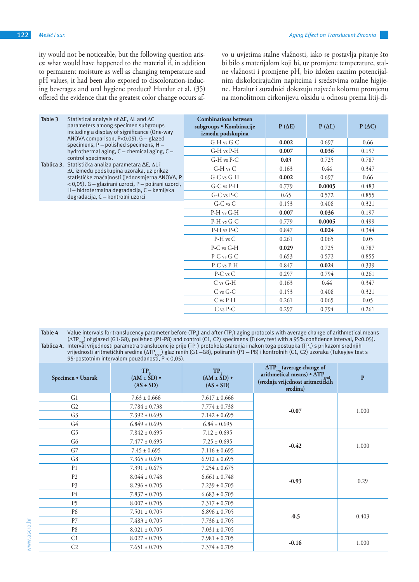ity would not be noticeable, but the following question arises: what would have happened to the material if, in addition to permanent moisture as well as changing temperature and pH values, it had been also exposed to discoloration-inducing beverages and oral hygiene product? Haralur et al. (35) offered the evidence that the greatest color change occurs afvo u uvjetima stalne vlažnosti, iako se postavlja pitanje što bi bilo s materijalom koji bi, uz promjene temperature, stalne vlažnosti i promjene pH, bio izložen raznim potencijalnim diskolorirajućim napitcima i sredstvima oralne higijene. Haralur i suradnici dokazuju najveću kolornu promjenu na monolitnom cirkonijevu oksidu u odnosu prema litij-di-

| Table 3 | Statistical analysis of $\Delta E$ , $\Delta L$ and $\Delta C$<br>parameters among specimen subgroups<br>including a display of significance (One-way                                                                                                                                                                                                                                                                                                                 | <b>Combinations between</b><br>subgroups • Kombinacije<br>između podskupina | P(AE) | $P(\Delta L)$ | $P ( \Delta C )$ |
|---------|-----------------------------------------------------------------------------------------------------------------------------------------------------------------------------------------------------------------------------------------------------------------------------------------------------------------------------------------------------------------------------------------------------------------------------------------------------------------------|-----------------------------------------------------------------------------|-------|---------------|------------------|
|         | ANOVA comparison, P<0.05). G - glazed<br>specimens, P - polished specimens, H -<br>hydrothermal aging, C - chemical aging, C -<br>control specimens.<br>Tablica 3. Statistička analiza parametara $\Delta E$ , $\Delta L$ i<br>∆C između podskupina uzoraka, uz prikaz<br>statističke značajnosti (jednosmjerna ANOVA, P<br>$(0.05)$ . G – glazirani uzroci, P – polirani uzorci,<br>H - hidrotermalna degradacija, C - kemijska<br>degradacija, C - kontrolni uzorci | G-H vs G-C                                                                  | 0.002 | 0.697         | 0.66             |
|         |                                                                                                                                                                                                                                                                                                                                                                                                                                                                       | G-H vs P-H                                                                  | 0.007 | 0.036         | 0.197            |
|         |                                                                                                                                                                                                                                                                                                                                                                                                                                                                       | G-H vs P-C                                                                  | 0.03  | 0.725         | 0.787            |
|         |                                                                                                                                                                                                                                                                                                                                                                                                                                                                       | $G-H$ vs $C$                                                                | 0.163 | 0.44          | 0.347            |
|         |                                                                                                                                                                                                                                                                                                                                                                                                                                                                       | $G-C$ vs $G-H$                                                              | 0.002 | 0.697         | 0.66             |
|         |                                                                                                                                                                                                                                                                                                                                                                                                                                                                       | $G-C$ vs $P-H$                                                              | 0.779 | 0.0005        | 0.483            |
|         |                                                                                                                                                                                                                                                                                                                                                                                                                                                                       | $G-C$ vs $P-C$                                                              | 0.65  | 0.572         | 0.855            |
|         |                                                                                                                                                                                                                                                                                                                                                                                                                                                                       | $G-C$ vs $C$                                                                | 0.153 | 0.408         | 0.321            |
|         |                                                                                                                                                                                                                                                                                                                                                                                                                                                                       | P-H vs G-H                                                                  | 0.007 | 0.036         | 0.197            |
|         |                                                                                                                                                                                                                                                                                                                                                                                                                                                                       | P-H vs G-C                                                                  | 0.779 | 0.0005        | 0.499            |
|         |                                                                                                                                                                                                                                                                                                                                                                                                                                                                       | P-H vs P-C                                                                  | 0.847 | 0.024         | 0.344            |
|         |                                                                                                                                                                                                                                                                                                                                                                                                                                                                       | P-H vs C                                                                    | 0.261 | 0.065         | 0.05             |
|         |                                                                                                                                                                                                                                                                                                                                                                                                                                                                       | P-C vs G-H                                                                  | 0.029 | 0.725         | 0.787            |
|         |                                                                                                                                                                                                                                                                                                                                                                                                                                                                       | $P-C$ vs $G-C$                                                              | 0.653 | 0.572         | 0.855            |
|         |                                                                                                                                                                                                                                                                                                                                                                                                                                                                       | P-C vs P-H                                                                  | 0.847 | 0.024         | 0.339            |
|         |                                                                                                                                                                                                                                                                                                                                                                                                                                                                       | $P-C$ vs $C$                                                                | 0.297 | 0.794         | 0.261            |
|         |                                                                                                                                                                                                                                                                                                                                                                                                                                                                       | $C$ vs $G-H$                                                                | 0.163 | 0.44          | 0.347            |
|         |                                                                                                                                                                                                                                                                                                                                                                                                                                                                       | $C$ vs $G-C$                                                                | 0.153 | 0.408         | 0.321            |
|         |                                                                                                                                                                                                                                                                                                                                                                                                                                                                       | $C$ vs $P-H$                                                                | 0.261 | 0.065         | 0.05             |
|         |                                                                                                                                                                                                                                                                                                                                                                                                                                                                       | $C$ vs $P-C$                                                                | 0.297 | 0.794         | 0.261            |

| Table 4 | Value intervals for translucency parameter before (TP <sub>o</sub> ) and after (TP <sub>i</sub> ) aging protocols with average change of arithmetical means       |
|---------|-------------------------------------------------------------------------------------------------------------------------------------------------------------------|
|         | $(\Delta TP_{avg})$ of glazed (G1-G8), polished (P1-P8) and control (C1, C2) specimens (Tukey test with a 95% confidence interval, P<0.05).                       |
|         | Tablica 4. Interval vrijednosti parametra translucencije prije (TP <sub>o</sub> ) protokola starenja i nakon toga postupka (TP <sub>o</sub> ) s prikazom srednjih |
|         | vrijednosti aritmetičkih sredina ( $\Delta TP_{\text{real}}$ ) glaziranih (G1 -G8), poliranih (P1 - P8) i kontrolnih (C1, C2) uzoraka (Tukeyjev test s            |
|         | 95-postotnim intervalom pouzdanosti, $P < 0.05$ ).                                                                                                                |

| Specimen • Uzorak | $TP_0$<br>$(AM \pm \text{SD}) \cdot$<br>$(AS \pm SD)$ | $TP_1$<br>$(AM \pm \dot{SD}) \bullet$<br>$(AS \pm SD)$ | $\Delta TP_{\text{avg}}$ (average change of<br>arithmetical means) $\mathbf{\Delta TP}_{\text{sred}}$<br>(srednja vrijednost aritmetičkih<br>sredina) | $\mathbf{P}$ |
|-------------------|-------------------------------------------------------|--------------------------------------------------------|-------------------------------------------------------------------------------------------------------------------------------------------------------|--------------|
| G1                | $7.63 \pm 0.666$                                      | $7.617 \pm 0.666$                                      |                                                                                                                                                       | 1.000        |
| G2                | $7.784 \pm 0.738$                                     | $7.774 \pm 0.738$                                      |                                                                                                                                                       |              |
| G <sub>3</sub>    | $7.392 \pm 0.695$                                     | $7.142 \pm 0.695$                                      | $-0.07$                                                                                                                                               |              |
| G4                | $6.849 \pm 0.695$                                     | $6.84 \pm 0.695$                                       |                                                                                                                                                       |              |
| G5                | $7.842 \pm 0.695$                                     | $7.12 \pm 0.695$                                       |                                                                                                                                                       | 1.000        |
| G6                | $7.477 \pm 0.695$                                     | $7.25 \pm 0.695$                                       |                                                                                                                                                       |              |
| G7                | $7.45 \pm 0.695$                                      | $7.116 \pm 0.695$                                      | $-0.42$                                                                                                                                               |              |
| G8                | $7.365 \pm 0.695$                                     | $6.912 \pm 0.695$                                      |                                                                                                                                                       |              |
| P <sub>1</sub>    | $7.391 \pm 0.675$                                     | $7.254 \pm 0.675$                                      |                                                                                                                                                       | 0.29         |
| P <sub>2</sub>    | $8.044 \pm 0.748$                                     | $6.661 \pm 0.748$                                      |                                                                                                                                                       |              |
| P <sub>3</sub>    | $8.296 \pm 0.705$                                     | $7.239 \pm 0.705$                                      | $-0.93$                                                                                                                                               |              |
| P4                | $7.837 \pm 0.705$                                     | $6.683 \pm 0.705$                                      |                                                                                                                                                       |              |
| P <sub>5</sub>    | $8.007 \pm 0.705$                                     | $7.317 \pm 0.705$                                      |                                                                                                                                                       | 0.403        |
| P6                | $7.501 \pm 0.705$                                     | $6.896 \pm 0.705$                                      |                                                                                                                                                       |              |
| P7                | $7.483 \pm 0.705$                                     | $7.736 \pm 0.705$                                      | $-0.5$                                                                                                                                                |              |
| P8                | $8.021 \pm 0.705$                                     | $7.031 \pm 0.705$                                      |                                                                                                                                                       |              |
| C <sub>1</sub>    | $8.027 \pm 0.705$                                     | $7.981 \pm 0.705$                                      |                                                                                                                                                       |              |
| C <sub>2</sub>    | $7.651 \pm 0.705$                                     | $7.374 \pm 0.705$                                      | $-0.16$                                                                                                                                               | 1.000        |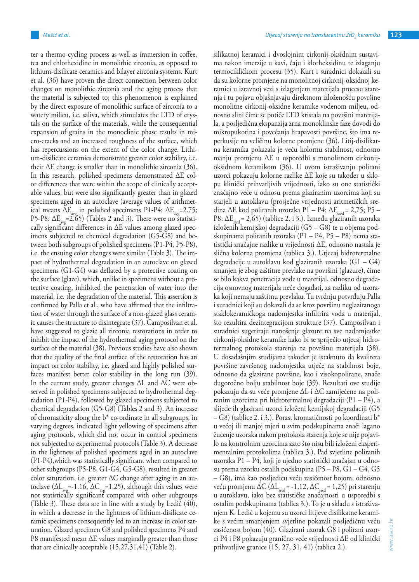ter a thermo-cycling process as well as immersion in coffee, tea and chlorhexidine in monolithic zirconia, as opposed to lithium-disilicate ceramics and bilayer zirconia systems. Kurt et al. (36) have proven the direct connection between color changes on monolithic zirconia and the aging process that the material is subjected to; this phenomenon is explained by the direct exposure of monolithic surface of zirconia to a watery milieu, i.e. saliva, which stimulates the LTD of crystals on the surface of the materials, while the consequential expansion of grains in the monoclinic phase results in micro-cracks and an increased roughness of the surface, which has repercussions on the extent of the color change. Lithium-disilicate ceramics demonstrate greater color stability, i.e. their ΔE change is smaller than in monolithic zirconia (36). In this research, polished specimens demonstrated ΔE color differences that were within the scope of clinically acceptable values, but were also significantly greater than in glazed specimens aged in an autoclave (average values of arithmetical means  $\Delta E_{\text{avg}}$  in polished specimens P1-P4:  $\Delta E_{\text{avg}}$ =2.75; P5-P8:  $\Delta E_{\text{avg}}$ =2.65) (Tables 2 and 3). There were no statistically significant differences in  $\Delta E$  values among glazed specimens subjected to chemical degradation (G5-G8) and between both subgroups of polished specimens (P1-P4, P5-P8), i.e. the ensuing color changes were similar (Table 3). The impact of hydrothermal degradation in an autoclave on glazed specimens (G1-G4) was deflated by a protective coating on the surface (glaze), which, unlike in specimens without a protective coating, inhibited the penetration of water into the material, i.e. the degradation of the material. This assertion is confirmed by Palla et al., who have affirmed that the infiltration of water through the surface of a non-glazed glass ceramic causes the structure to disintegrate (37). Camposilvan et al. have suggested to glazie all zirconia restorations in order to inhibit the impact of the hydrothermal aging protocol on the surface of the material (38). Previous studies have also shown that the quality of the final surface of the restoration has an impact on color stability, i.e. glazed and highly polished surfaces manifest better color stability in the long run (39). In the current study, greater changes ΔL and ΔC were observed in polished specimens subjected to hydrothermal degradation (P1-P4), followed by glazed specimens subjected to chemical degradation (G5-G8) (Tables 2 and 3). An increase of chromaticity along the  $b^*$  co-ordinate in all subgroups, in varying degrees, indicated light yellowing of specimens after aging protocols, which did not occur in control specimens not subjected to experimental protocols (Table 3). A decrease in the lightness of polished specimens aged in an autoclave (P1-P4),which was statistically significant when compared to other subgroups (P5-P8, G1-G4, G5-G8), resulted in greater color saturation, i.e. greater ΔC change after aging in an autoclave ( $\Delta L_{av}$ =-1.16,  $\Delta C_{av}$ =1.25), although this values were not statistically significant compared with other subgroups (Table 3). These data are in line with a study by Ledić (40), in which a decrease in the lightness of lithium-disilicate ceramic specimens consequently led to an increase in color saturation. Glazed specimen G8 and polished specimens P4 and P8 manifested mean ΔE values marginally greater than those that are clinically acceptable (15,27,31,41) (Table 2).

silikatnoj keramici i dvoslojnim cirkonij-oksidnim sustavima nakon imerzije u kavi, čaju i klorheksidinu te izlaganju termocikličkom procesu (35). Kurt i suradnici dokazali su da su kolorne promjene na monolitnoj cirkonij-oksidnoj keramici u izravnoj vezi s izlaganjem materijala procesu starenja i tu pojavu objašnjavaju direktnom izloženošću površine monolitne cirkonij-oksidne keramike vodenom miljeu, odnosno slini čime se potiče LTD kristala na površini materijala, a posljedična ekspanzija zrna monoklinske faze dovodi do mikropukotina i povećanja hrapavosti površine, što ima reperkusije na veličinu kolorne promjene (36). Litij-disilikatna keramika pokazala je veću kolornu stabilnost, odnosno manju promjenu ∆E u usporedbi s monolitnom cirkonijoksidnom keramikom (36). U ovom istraživanju polirani uzorci pokazuju kolorne razlike ∆E koje su također u sklopu klinički prihvatljivih vrijednosti, iako su one statistički značajno veće u odnosu prema glaziranim uzorcima koji su starjeli u autoklavu (prosječne vrijednosti aritmetičkih sredina ∆E kod poliranih uzoraka P1 – P4: ΔE<sub>sred</sub> = 2,75; P5 – P8:  $\Delta E_{\text{med}}$  = 2,65) (tablice 2. i 3.). Između glaziranih uzoraka izloženih kemijskoj degradaciji (G5 – G8) te u objema podskupinama poliranih uzoraka (P1 – P4, P5 – P8) nema statistički značajne razlike u vrijednosti ∆E, odnosno nastala je slična kolorna promjena (tablica 3.). Utjecaj hidrotermalne degradacije u autoklavu kod glaziranih uzoraka (G1 – G4) smanjen je zbog zaštitne prevlake na površini (glazure), čime se bilo kakva penetracija vode u materijal, odnosno degradacija osnovnog materijala neće događati, za razliku od uzoraka koji nemaju zaštitnu prevlaku. Tu tvrdnju potvrđuju Palla i suradnici koji su dokazali da se kroz površinu neglaziranoga staklokeramičkoga nadomjestka infiltrira voda u materijal, što rezultira dezintegracijom strukture (37). Camposilvan i suradnici sugeriraju nanošenje glazure na sve nadomjestke cirkonij-oksidne keramike kako bi se spriječio utjecaj hidrotermalnog protokola starenja na površinu materijala (38). U dosadašnjim studijama također je istaknuto da kvaliteta površine završenog nadomjestka utječe na stabilnost boje, odnosno da glazirane površine, kao i visokopolirane, znače dugoročno bolju stabilnost boje (39). Rezultati ove studije pokazuju da su veće promjene ∆L i ∆C zamijećene na poliranim uzorcima pri hidrotermalnoj degradaciji (P1 – P4), a slijede ih glazirani uzorci izloženi kemijskoj degradaciji (G5 – G8) (tablice 2. i 3.). Porast kromatičnosti po koordinati b\* u većoj ili manjoj mjeri u svim podskupinama znači lagano žućenje uzoraka nakon protokola starenja koje se nije pojavilo na kontrolnim uzorcima zato što nisu bili izloženi eksperimentalnim protokolima (tablica 3.). Pad svjetline poliranih uzoraka P1 – P4, koji je ujedno statistički značajan u odnosu prema uzorku ostalih podskupina (P5 – P8, G1 – G4, G5 – G8), ima kao posljedicu veću zasićenost bojom, odnosno veću promjenu ΔC ( $\Delta L_{\text{seed}}$  = -1,12, ΔC<sub>sred</sub> = 1,25) pri starenju u autoklavu, iako bez statističke značajnosti u usporedbi s ostalim podskupinama (tablica 3.). To je u skladu s istraživanjem K. Ledić u kojemu su uzorci litijeve disilikatne keramike s većim smanjenjem svjetline pokazali posljedičnu veću zasićenost bojom (40). Glazirani uzorak G8 i polirani uzorci P4 i P8 pokazuju granično veće vrijednosti ∆E od klinički prihvatljive granice (15, 27, 31, 41) (tablica 2.).

www.ascro.hr

www.ascro.hr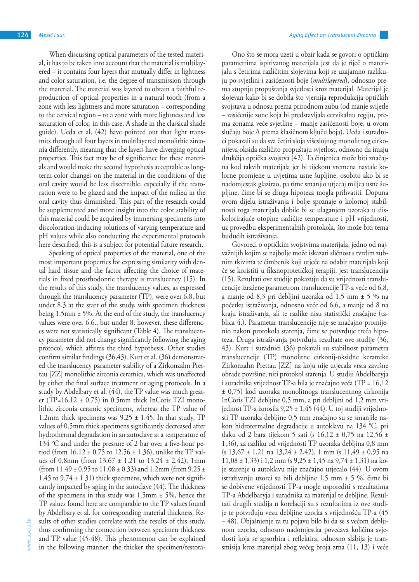When discussing optical parameters of the tested material, it has to be taken into account that the material is multilayered – it contains four layers that mutually differ in lightness and color saturation, i.e. the degree of transmission through the material. The material was layered to obtain a faithful reproduction of optical properties in a natural tooth (from a zone with less lightness and more saturation – corresponding to the cervical region – to a zone with more lightness and less saturation of color, in this case: A shade in the classical shade guide). Ueda et al. (42) have pointed out that light transmits through all four layers in multilayered monolithic zirconia differently, meaning that the layers have diverging optical properties. This fact may be of significance for these materials and would make the second hypothesis acceptable as longterm color changes on the material in the conditions of the oral cavity would be less discernible, especially if the restoration were to be glazed and the impact of the milieu in the oral cavity thus diminished. This part of the research could be supplemented and more insight into the color stability of this material could be acquired by immersing specimens into discoloration-inducing solutions of varying temperature and pH values while also conducting the experimental protocols here described; this is a subject for potential future research.

Speaking of optical properties of the material, one of the most important properties for expressing similarity with dental hard tissue and the factor affecting the choice of materials in fixed prosthodontic therapy is translucency (15). In the results of this study, the translucency values, as expressed through the translucency parameter (TP), were over 6.8, but under 8.3 at the start of the study, with specimen thickness being 1.5mm ± 5%. At the end of the study, the translucency values were over 6.6., but under 8; however, these differences were not statistically significant (Table 4). The translucency parameter did not change significantly following the aging protocol, which affirms the third hypothesis. Other studies confirm similar findings (36,43). Kurt et al. (36) demonstrated the translucency parameter stability of a Zirkonzahn Prettau [ZZ] monolithic zirconia ceramics, which was unaffected by either the final surface treatment or aging protocols. In a study by Abdelbary et al. (44), the TP value was much greater (TP=16.12  $\pm$  0.75) in 0.5mm thick InCoris TZI monolithic zirconia ceramic specimens, whereas the TP value of 1.2mm thick specimens was  $9.25 \pm 1.45$ . In that study, TP values of 0.5mm thick specimens significantly decreased after hydrothermal degradation in an autoclave at a temperature of 134 °C and under the pressure of 2 bar over a five-hour period (from  $16.12 \pm 0.75$  to  $12.56 \pm 1.36$ ), unlike the TP values of 0.8mm (from  $13.67 \pm 1.21$  to  $13.24 \pm 2.42$ ), 1mm (from  $11.49 \pm 0.95$  to  $11.08 \pm 0.33$ ) and  $1.2$ mm (from  $9.25 \pm 0.05$ ) 1.45 to  $9.74 \pm 1.31$ ) thick specimens, which were not significantly impacted by aging in the autoclave (44). The thickness of the specimens in this study was 1.5mm ± 5%, hence the TP values found here are comparable to the TP values found by Abdelbary et al. for corresponding material thickness. Results of other studies correlate with the results of this study, thus confirming the connection between specimen thickness and TP value (45-48). This phenomenon can be explained in the following manner: the thicker the specimen/restora-

Ono što se mora uzeti u obzir kada se govori o optičkim parametrima ispitivanog materijala jest da je riječ o materijalu s četirima različitim slojevima koji se uzajamno razlikuju po svjetlini i zasićenosti boje (*multilayered*), odnosno prema stupnju propuštanja svjetlosti kroz materijal. Materijal je slojevan kako bi se dobila što vjernija reprodukcija optičkih svojstava u odnosu prema prirodnom zubu (od manje svijetle – zasićenije zone koja bi predstavljala cervikalnu regiju, prema zonama veće svjetline – manje zasićenosti boje, u ovom slučaju boje A prema klasičnom ključu boja). Ueda i suradnici pokazali su da sva četiri sloja višeslojnog monolitnog cirkonijeva oksida različito propuštaju svjetlost, odnosno da imaju drukčija optička svojstva (42). Ta činjenica može biti značajna kod takvih materijala jer bi tijekom vremena nastale kolorne promjene u uvjetima usne šupljine, osobito ako bi se nadomjestak glazirao, pa time smanjio utjecaj miljea usne šupljine, čime bi se druga hipoteza mogla prihvatiti. Dopuna ovom dijelu istraživanja i bolje spoznaje o kolornoj stabilnosti toga materijala dobile bi se ulaganjem uzoraka u diskolorirajuće otopine različite temperature i pH vrijednosti, uz provedbu eksperimentalnih protokola, što može biti tema budućih istraživanja.

Govoreći o optičkim svojstvima materijala, jedno od najvažnijih kojim se najbolje može iskazati sličnost s tvrdim zubnim tkivima te čimbenik koji utječe na odabir materijala koji će se koristiti u fiksnoprotetičkoj terapiji, jest translucencija (15). Rezultati ove studije pokazuju da su vrijednosti translucencije izražene parametrom translucencije TP-a veće od 6,8, a manje od 8,3 pri debljini uzoraka od 1,5 mm ± 5 % na početku istraživanja, odnosno veće od 6,6, a manje od 8 na kraju istraživanja, ali te razlike nisu statistički značajne (tablica 4.). Parametar translucencije nije se značajno promijenio nakon protokola starenja, čime se potvrđuje treća hipoteza. Druga istraživanja potvrđuju rezultate ove studije (36, 43). Kurt i suradnici (36) pokazali su stabilnost parametra translucencije (TP) monolitne cirkonij-oksidne keramike Zirkonzahn Prettau [ZZ] na koju nije utjecala vrsta završne obrade površine, niti protokol starenja. U studiji Abdelbaryja i suradnika vrijednost TP-a bila je značajno veća (TP = 16,12 ± 0,75) kod uzoraka monolitnoga translucentnog cirkonija InCoris TZI debljine 0,5 mm, a pri debljini od 1,2 mm vrijednost TP-a iznosila 9,25 ± 1,45 (44). U toj studiji vrijednosti TP uzoraka debljine 0,5 mm značajno su se smanjile nakon hidrotermalne degradacije u autoklavu na 134 °C, pri tlaku od 2 bara tijekom 5 sati (s 16,12 ± 0,75 na 12,56 ± 1,36), za razliku od vrijednosti TP uzoraka debljina 0,8 mm  $(s 13,67 \pm 1,21 \text{ na } 13,24 \pm 2,42)$ , 1 mm  $(s 11,49 \pm 0,95 \text{ na } 11,49 \pm 1,1)$ 11,08 ± 1,33) i 1,2 mm (s 9,25 ± 1,45 na 9,74 ± 1,31) na koje starenje u autoklavu nije značajno utjecalo (44). U ovom istraživanju uzorci su bili debljine 1,5 mm ± 5 %, čime bi se dobivene vrijednosti TP-a mogle usporediti s rezultatima TP-a Abdelbaryja i suradnika za materijal te debljine. Rezultati drugih studija u korelaciji su s rezultatima iz ove studije te potvrđuju vezu debljine uzorka s vrijednošću TP-a (45 – 48). Objašnjenje za tu pojavu bilo bi da se s većom debljinom uzorka, odnosno nadomjestka povećava količina svjetlosti koja se apsorbira i reflektira, odnosno slabija je transmisija kroz materijal zbog većeg broja zrna (11, 13) i veće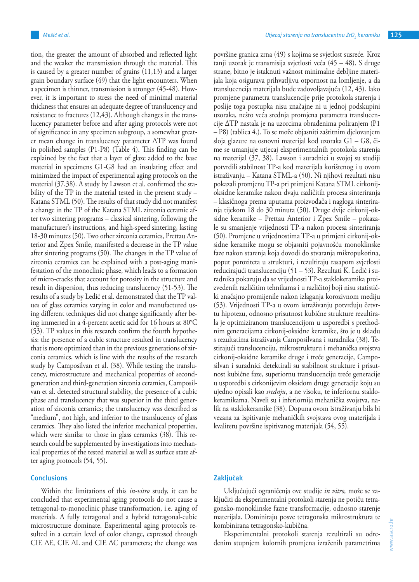tion, the greater the amount of absorbed and reflected light and the weaker the transmission through the material. This is caused by a greater number of grains (11,13) and a larger grain boundary surface (49) that the light encounters. When a specimen is thinner, transmission is stronger (45-48). However, it is important to stress the need of minimal material thickness that ensures an adequate degree of translucency and resistance to fractures (12,43). Although changes in the translucency parameter before and after aging protocols were not of significance in any specimen subgroup, a somewhat greater mean change in translucency parameter ΔTP was found in polished samples (P1-P8) (Table 4). This finding can be explained by the fact that a layer of glaze added to the base material in specimens G1-G8 had an insulating effect and minimized the impact of experimental aging protocols on the material (37,38). A study by Lawson et al. confirmed the stability of the TP in the material tested in the present study – Katana STML (50). The results of that study did not manifest a change in the TP of the Katana STML zirconia ceramic after two sintering programs – classical sintering, following the manufacturer's instructions, and high-speed sintering, lasting 18-30 minutes (50). Two other zirconia ceramics, Prettau Anterior and Zpex Smile, manifested a decrease in the TP value after sintering programs (50). The changes in the TP value of zirconia ceramics can be explained with a post-aging manifestation of the monoclinic phase, which leads to a formation of micro-cracks that account for porosity in the structure and result in dispersion, thus reducing translucency (51-53). The results of a study by Ledić et al. demonstrated that the TP values of glass ceramics varying in color and manufactured using different techniques did not change significantly after being immersed in a 4-percent acetic acid for 16 hours at 80°C (53). TP values in this research confirm the fourth hypothesis: the presence of a cubic structure resulted in translucency that is more optimized than in the previous generations of zirconia ceramics, which is line with the results of the research study by Camposilvan et al. (38). While testing the translucency, microstructure and mechanical properties of secondgeneration and third-generation zirconia ceramics, Camposilvan et al. detected structural stability, the presence of a cubic phase and translucency that was superior in the third generation of zirconia ceramics; the translucency was described as "medium", not high, and inferior to the translucency of glass ceramics. They also listed the inferior mechanical properties, which were similar to those in glass ceramics (38). This research could be supplemented by investigations into mechanical properties of the tested material as well as surface state after aging protocols (54, 55).

## **Conclusions**

Within the limitations of this *in-vitro* study, it can be concluded that experimental aging protocols do not cause a tetragonal-to-monoclinic phase transformation, i.e. aging of materials. A fully tetragonal and a hybrid tetragonal-cubic microstructure dominate. Experimental aging protocols resulted in a certain level of color change, expressed through CIE ΔE, CIE ΔL and CIE ΔC parameters; the change was

površine granica zrna (49) s kojima se svjetlost susreće. Kroz tanji uzorak je transmisija svjetlosti veća (45 – 48). S druge strane, bitno je istaknuti važnost minimalne debljine materijala koja osigurava prihvatljivu otpornost na lomljenje, a da translucencija materijala bude zadovoljavajuća (12, 43). Iako promjene parametra translucencije prije protokola starenja i poslije toga postupka nisu značajne ni u jednoj podskupini uzoraka, nešto veća srednja promjena parametra translucencije ∆TP nastala je na uzorcima obrađenima poliranjem (P1 – P8) (tablica 4.). To se može objasniti zaštitnim djelovanjem sloja glazure na osnovni materijal kod uzoraka G1 – G8, čime se umanjuje utjecaj eksperimentalnih protokola starenja na materijal (37, 38). Lawson i suradnici u svojoj su studiji potvrdili stabilnost TP-a kod materijala korištenog i u ovom istraživanju – Katana STML-a (50). Ni njihovi rezultati nisu pokazali promjenu TP-a pri primjeni Katana STML cirkonijoksidne keramike nakon dvaju različitih procesa sinteriranja – klasičnoga prema uputama proizvođača i nagloga sinteriranja tijekom 18 do 30 minuta (50). Druge dvije cirkonij-oksidne keramike – Prettau Anterior i Zpex Smile – pokazale su smanjenje vrijednosti TP-a nakon procesa sinteriranja (50). Promjene u vrijednostima TP-a u primjeni cirkonij-oksidne keramike mogu se objasniti pojavnošću monoklinske faze nakon starenja koja dovodi do stvaranja mikropukotina, poput poroziteta u strukturi, i rezultiraju rasapom svjetlosti reducirajući translucenciju (51 – 53). Rezultati K. Ledić i suradnika pokazuju da se vrijednosti TP-a staklokeramika proizvedenih različitim tehnikama i u različitoj boji nisu statistički značajno promijenile nakon izlaganja korozivnom mediju (53). Vrijednosti TP-a u ovom istraživanju potvrđuju četvrtu hipotezu, odnosno prisutnost kubične strukture rezultirala je optimiziranom translucencijom u usporedbi s prethodnim generacijama cirkonij-oksidne keramike, što je u skladu s rezultatima istraživanja Camposilvana i suradnika (38). Testirajući translucenciju, mikrostrukturu i mehanička svojstva cirkonij-oksidne keramike druge i treće generacije, Camposilvan i suradnici detektirali su stabilnost strukture i prisutnost kubične faze, superiornu translucenciju treće generacije u usporedbi s cirkonijevim oksidom druge generacije koju su ujedno opisali kao *srednju*, a ne visoku, te inferiornu staklokeramikama. Naveli su i inferiornija mehanička svojstva, nalik na staklokeramike (38). Dopuna ovom istraživanju bila bi vezana za ispitivanje mehaničkih svojstava ovog materijala i kvalitetu površine ispitivanog materijala (54, 55).

# **Zaključak**

Uključujući ograničenja ove studije *in vitro,* može se zaključiti da eksperimentalni protokoli starenja ne potiču tetragonsko-monoklinske fazne transformacije, odnosno starenje materijala. Dominiraju posve tetragonska mikrostruktura te kombinirana tetragonsko-kubična.

Eksperimentalni protokoli starenja rezultirali su određenim stupnjem kolornih promjena izraženih parametrima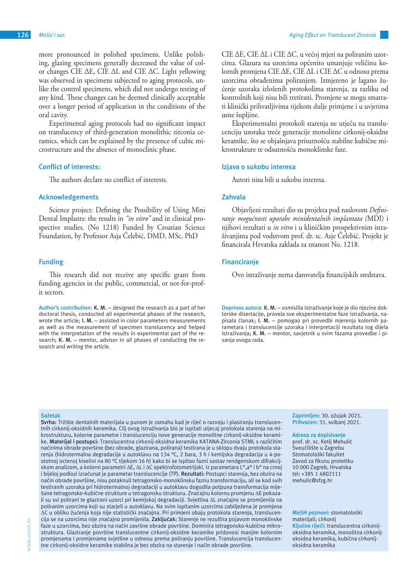more pronounced in polished specimens. Unlike polishing, glazing specimens generally decreased the value of color changes CIE ΔE, CIE ΔL and CIE ΔC. Light yellowing was observed in specimens subjected to aging protocols, unlike the control specimens, which did not undergo testing of any kind. These changes can be deemed clinically acceptable over a longer period of application in the conditions of the oral cavity.

Experimental aging protocols had no significant impact on translucency of third-generation monolithic zirconia ceramics, which can be explained by the presence of cubic microstructure and the absence of monoclinic phase.

### **Conflict of interests:**

The authors declare no conflict of interests.

#### **Acknowledgements**

Science project: Defining the Possibility of Using Mini Dental Implants: the results in *"in vitro"* and in clinical prospective studies. (No 1218) Funded by Croatian Science Foundation, by Professor Asja Čelebić, DMD, MSc, PhD

## **Funding**

This research did not receive any specific grant from funding agencies in the public, commercial, or not-for-profit sectors.

**Author's contribution: K. M.** – designed the research as a part of her doctoral thesis, conducted all experimental phases of the research, wrote the article; **I. M.** – assisted in color parameters measurements as well as the measurement of specimen translucency and helped with the interpretation of the results in experimental part of the research; **K. M.** – mentor, advisor in all phases of conducting the research and writing the article.

CIE ∆E, CIE ∆L i CIE ∆C, u većoj mjeri na poliranim uzorcima. Glazura na uzorcima općenito umanjuje veličinu kolornih promjena CIE ∆E, CIE ∆L i CIE ∆C u odnosu prema uzorcima obrađenima poliranjem. Izmjereno je lagano žućenje uzoraka izloženih protokolima starenja, za razliku od kontrolnih koji nisu bili tretirani. Promjene se mogu smatrati klinički prihvatljivima tijekom dulje primjene i u uvjetima usne šupljine.

Eksperimentalni protokoli starenja ne utječu na translucenciju uzoraka treće generacije monolitne cirkonij-oksidne keramike, što se objašnjava prisutnošću stabilne kubične mikrostrukture te odsutnošću monoklinske faze.

#### **Izjava o sukobu interesa**

Autori nisu bili u sukobu interesa.

#### **Zahvala**

Objavljeni rezultati dio su projekta pod naslovom *Definiranje mogućnosti uporabe minidentalnih implantata (*MDI) i njihovi rezultati u *in vitro* i u kliničkim prospektivnim istraživanjima pod vodstvom prof. dr. sc. Asje Čelebić. Projekt je financirala Hrvatska zaklada za znanost No. 1218.

### **Financiranje**

Ovo istraživanje nema darovatelja financijskih sredstava.

**Doprinos autora: K. M.** – osmislila istraživanje koje je dio njezine doktorske disertacije, provela sve eksperimentalne faze istraživanja, napisala članak; **I. M.** – pomogao pri provedbi mjerenja kolornih parametara i translucencije uzoraka i interpretaciji rezultata tog dijela istraživanja; **K. M.** – mentor, savjetnik u svim fazama provedbe i pisanja ovoga rada.

#### **Sažetak**

**Svrha:** Tržište dentalnih materijala u punom je zamahu kad je riječ o razvoju i plasiranju translucentnih cirkonij-oksidnih keramika. Cilj ovog istraživanja bio je ispitati utjecaj protokola starenja na mikrostrukturu, kolorne parametre i translucenciju nove generacije monolitne cirkonij-oksidne keramike. **Materijal i postupci:** Translucentna cirkonij-oksidna keramika KATANA-Zirconia STML s različitim načinima obrade površine (bez obrade, glazirana, polirana) testirana je u sklopu dvaju protokola starenja (hidrotermalna degradacija u autoklavu na 134 °C, 2 bara, 3 h i kemijska degradacija u 4-postotnoj octenoj kiselini na 80 °C tijekom 16 h) kako bi se ispitao fazni sastav rendgenskom difrakcijskom analizom, a kolorni parametri ∆E, ∆L i ∆C spektrofotometrijski. Iz parametara L\*,a\* i b\* na crnoj i bijeloj podlozi izračunat je parametar translucencije (TP). **Rezultati:** Postupci starenja, bez obzira na način obrade površine, nisu potaknuli tetragonsko-monoklinsku faznu transformaciju, ali se kod svih testiranih uzoraka pri hidrotermalnoj degradaciji u autoklavu dogodila potpuna transformacija miješane tetragonsko-kubične strukture u tetragonsku strukturu. Značajnu kolornu promjenu ∆E pokazali su svi polirani te glazirani uzorci pri kemijskoj degradaciji. Svjetlina ∆L značajno se promijenila na poliranim uzorcima koji su starjeli u autoklavu. Na svim ispitanim uzorcima zabilježena je promjena ∆C u obliku žućenja koja nije statistički značajna. Pri primjeni obaju protokola starenja, translucencija se na uzorcima nije značajno promijenila. **Zaključak:** Starenje ne rezultira pojavom monoklinske faze u uzorcima, bez obzira na način završne obrade površine. Dominira tetragonsko-kubična mikrostruktura. Glaziranje površine translucentne cirkonij-oksidne keramike pridonosi manjim kolornim promjenama i promjenama svjetline u odnosu prema poliranju površine. Translucencija translucentne cirkonij-oksidne keramike stabilna je bez obzira na starenje i način obrade površine.

**Zaprimljen:** 30. ožujak 2021. **Prihvaćen:** 31. svibanj 2021.

**Adresa za dopisivanje** prof. dr. sc. Ketij Mehulić Sveučilište u Zagrebu Stomatološki fakultet Zavod za fiksnu protetiku 10 000 Zagreb, Hrvatska tel: +385 1 4802111 mehulic@sfzg.hr

**MeSH pojmovi:** stomatološki materijali; cirkonij **Ključne riječi:** translucentna cirkonijoksidna keramika, monolitna cirkonijoksidna keramika, kubična cirkonijoksidna keramika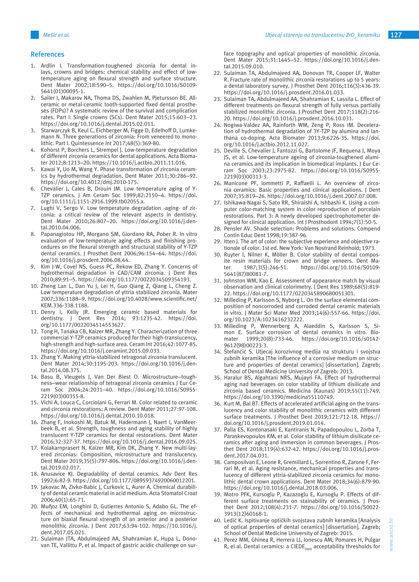### **References**

- 1. Ardlin I. Transformation-toughened zirconia for dental inlays, crowns and bridges: chemical stability and effect of lowtemperature aging on flexural strength and surface structure. Dent Mater 2002;18:590–5. https://doi.org/10.1016/S0109- 5641(01)00095-1.
- 2. Sailer I, Makarov NA, Thoma DS, Zwahlen M, Pjetursson BE. Allceramic or metal-ceramic tooth-supported fixed dental prostheses (FDPs)? A systematic review of the survival and complication rates. Part I: Single crowns (SCs). Dent Mater 2015;15:603–23. https://doi.org/10.1016/j.dental.2015.02.011.
- 3. Starwarczyk B, Keul C, Eichberger M, Figge D, Edelhoff D, Lumkemann N. Three generations of zirconia: From veneered to monolithic. Part I. Quintessence Int 2017;48(5):369-80.
- 4. Kohorst P, Borchers L, Strempel J. Low-temperature degradation of different zirconia ceramics for dental applications. Acta Biomater 2012;8:1213–20. https://10.1016/j.actbio.2011.11.016.
- 5. Kawai Y, Uo M, Wang Y. Phase transformation of zirconia ceramics by hydrothermal degradation. Dent Mater 2011;30:286–92. https://doi.org/10.4012/dmj.2010-175.
- 6. Chevalier J, Cales B, Drouin JM. Low temperature aging of Y-TZP ceramics. J Am Ceram Soc 1999;82:2150–4. https://doi. org/10.1111/j.1151-2916.1999.tb02055.x.
- 7. Lughi V, Sergo V. Low temperature degradation -aging- of zirconia: a critical review of the relevant aspects in dentistry. Dent Mater 2010;26:807–20. https://doi.org/10.1016/j.dental.2010.04.006.
- 8. Papanagiotou HP, Morgano SM, Giordano RA, Pober R. In vitro evaluation of low-temperature aging effects and finishing procedures on the flexural strength and structural stability of Y-TZP dental ceramics. J Prosthet Dent 2006;96:154–64. https://doi. org/10.1016/j.prosdent.2006.08.44.
- 9. Kim J-W, Covel NS, Guess PC, Rekow ED, Zhang Y. Concerns of hydrothermal degradation in CAD/CAM zirconia. J Dent Res 2010;89:91–5. https://doi.org/10.1177/0022034509354193.
- 10. Zheng Lan L, Dan Yu J, Lei H, Guo Qiang Z, Qiang L, Cheng Z. Low temperature degradation of yttria stabilized zirconia. Mater 2007;336:1188–9. https://doi.org/10.4028/www.scientific.net/ KEM.336-338.1188.
- 11. Denry I, Kelly JR. Emerging ceramic based materials for dentistry. J Dent Res 2014; 93:1235-42. https://doi. org/10.1177/0022034514553627.
- 12. Tong H, Tanaka CB, Kaizer MR, Zhang Y. Characterization of three commercial Y-TZP ceramics produced for their high-translucency, high-strength and high-surface area. Ceram Int 2016;42:1077-85. https://doi.org/10.1016/j.ceramint.2015.09.033.
- 13. Zhang Y. Making yttria-stabilized tetragonal zirconia translucent. Dent Mater 2014;30:1195-203. https://doi.org/10.1016/j.dental.2014.08.375.
- 14. Basu B, Vleugels J, Van Der Biest O. Microstructure-toughness–wear relationship of tetragonal zirconia ceramics J Eur Ceram Soc 2004;24:2031–40. https://doi.org/10.1016/S0955- 2219(03)00355-8.
- 15. Vichi A, Louca C, Corciolani G, Ferrari M. Color related to ceramic and circonia restorations: A review. Dent Mater 2011;27:97-108. https://doi.org/10.1016/j.dental.2010.10.018.
- 16. Zhang F, Inokoshi M, Batuk M, Hadermann J, Naert I, VanMeerbeek B, et al. Strength, toughness and aging stability of highly translucent Y-TZP ceramics for dental restorations. Dent Mater 2016;32:327-37. https://doi.org/10.1016/j.dental.2016.09.025.
- 17. Kolakarnprasert N, Kaizer MR, Kim DK, Zhang Y. New multi-layered zirconias: Composition, microstructure and translucency. Dent Mater 2019;35(5):797-806. https://doi.org/10.1016/j.dental.2019.02.017.
- 18. Anusavice KJ. Degradability of dental ceramics. Adv Dent Res 1992;6:82-9. https://doi.org/10.1177/08959374920060012201.
- 19. Jakovac M, Zivko-Babic J, Curkovic L, Aurer A. Chemical durability of dental ceramic material in acid medium. Acta Stomatol Croat 2006;40(1):65-71.
- 20. Muῆoz EM, Longhini D, Gutierres Antonio S, Adabo GL. The effects of mechanical and hydrothermal aging on microstructure on biaxial flexural strength of an anterior and a posterior monolithic zirconia. J Dent 2017;63:94-102. https://10.1016/j. dent.2017.05.021.
- 21. Sulaiman JTA, Abdulmajeed AA, Shahramian K, Hupa L, Donovan TE, Vallittu P, et al. Impact of gastric acidic challenge on sur-

face topography and optical properties of monolithic zirconia. Dent Mater 2015;31:1445–52. https://doi.org/10.1016/j.dental.2015.09.010.

- 22. Sulaiman TA, Abdulmajeed AA, Donovan TR, Cooper LF, Walter R. Fracture rate of monolithic zirconia restorations up to 5 years: a dental laboratory survey. J Prosthet Dent 2016;116(3):436-39. https://doi.org/10.1016/j.prosdent.2016.01.033.
- 23. Sulaiman TA, Abdulmajeed AA, Shahramian K, Lassila L. Effect of different treatments on flexural strength of fully versus partially stabilized monolithic zirconia. J Prosthet Dent 2017;118(2):216- 20. https://doi.org/10.1016/j.prosdent.2016.10.031.
- 24. Nogiwa-Valdez AA, Rainforth WM, Zeng P, Ross IM. Deceleration of hydrothermal degradation of 3Y-TZP by alumina and lanthana co-doping. Acta Biomater 2013;9:6226-35. https://doi. org/10.1016/j.actbio.2012.11.027.
- 25. Deville S, Chevalier J, Fantozzi G, Bartolome JF, Requena J, Moya JS, et al. Low-temperature ageing of zirconia-toughened alumina ceramics and its implication in biomedical implants. J Eur Ceram Soc 2003;23:2975-82. https://doi.org/10.1016/S0955- 2219(03)00313-3.
- 26. Manicone PF, Iommetti P, Raffaelli L. An overview of zirconia ceramics: Basic properties and clinical applications. J Dent 2007;35:819–26. https://doi.org/10.1016/j.dent.2007.07.008.
- 27. Ishikawa-Nagai S, Sato RR, Shiraishi A, Ishbashi K. Using a computer color-matching system in color reproduction of porcelain restorations. Part 3: A newly developed spectrophotometer designed for clinical application. Int J Prosthodont 1994;7(1):50-5.
- 28. Pensler AV. Shade selection: Problems and solutions. Compend Contin Educ Dent 1998;19:387-96.
- 29. Itten J. The art of color: the subjective experience and objective rationale of color. 1st ed. New York: Van Nostrand Reinhold; 1973.
- 30. Ruyter I, Nilner K, Möller B. Color stability of dental composite resin materials for crown and bridge veneers. Dent Mater 1987;3(5):246-51. https://doi.org/10.1016/S0109- 5641(87)80081-7.
- 31. Johnston WM, Kao E. Assessment of appearance match by visual observation and clinical colorimetry. J Dent Res 1989;68(5):819- 22. https://doi.org/10.1177/0220345890680051301.
- 32. Milleding P, Karlsson S, Nyborg L. On the surface elemental composition of noncorroded and corroded dental ceramic materials in vitro. J Mater Sci Mater Med 2003;14(6):557-66. https://doi. org/10.1023/A:1023416232222.
- 33. Milleding P, Wennerberg A, Alaeddin S, Karlsson S, Simon E. Surface corrosion of dental ceramics in vitro. Biomater 1999;20(8):733-46. https://doi.org/10.1016/s0142- 9612(98)00223-3.
- 34. Štefančić S. Utjecaj korozivnog medija na strukturu i svojstva zubnih keramika [The influence of a corrosive medium on structure and properties of dental ceramics] [dissertation]. Zagreb; School of Dental Medicine University of Zagreb: 2013.
- 35. Haralur BS, Algahtani NRS, Mujayri FA. Effect of hydrothermal aging nad beverages on color stability of lithium disilicate and zirconia based ceramics. Medicina (Kaunas) 2019;55(11):749. https://doi.org/10.3390/medicina55110749.
- 36. Kurt M, Bal BT. Effects of accelerated artificial aging on the translucency and color stability of monolithic ceramics with different surface treatments. J Prosthet Dent 2019;121:712-18. https:// doi.org/10.1016/j.prosdent.2019.01.014.
- 37. Palla ES, Kontonasaki E, Kantiranis N, Papadopoulou L, Zorba T, Paraskevopoulos KM, et al. Color stability of lithium disilicate ceramics after aging and immersion in common beverages. J Prosthet Dent 2018;119(4):632-42. https://doi.org/10.1016/j.prosdent.2017.04.031.
- 38. Camposilvan E, Leone R, Gremillard L, Sorrentino R, Zarone F, Ferrari M, et al. Aging resistance, mechanical properties and translucency of different yttria-stabilized zirconia ceramics for monolithic dental crown applications. Dent Mater 2018;34(6):879-90. https://doi.org/10.1016/j.dental.2018.03.006.
- 39. Motro PFK, Kursoglu P, Kazazoglu E, Kursoglu P. Effects of different surface treatments on stainability of ceramics. J Prosthet Dent 2012;108(4):231-7. https://doi.org/10.1016/S0022- 3913(12)60168-1.
- 40. Ledić K. Ispitivanje optičkih svojstava zubnih keramika [Analysis of optical properties of dental ceramics] [dissertation]. Zagreb; School of Dental Medicine University of Zagreb: 2015.
- 41. Perez MM, Ghinea R, Herrera LJ, Ionescu AM, Pomares H, Pulgar R, el al. Dental ceramics: a CIEDE $_{2000}$  acceptability thresholds for